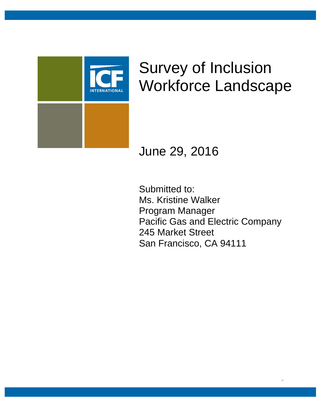

# Survey of Inclusion Workforce Landscape

June 29, 2016

Submitted to: Ms. Kristine Walker Program Manager Pacific Gas and Electric Company 245 Market Street San Francisco, CA 94111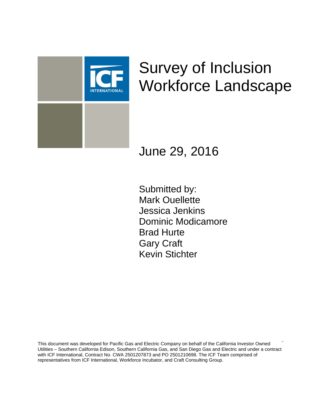

# Survey of Inclusion Workforce Landscape

June 29, 2016

Submitted by: Mark Ouellette Jessica Jenkins Dominic Modicamore Brad Hurte Gary Craft Kevin Stichter

This document was developed for Pacific Gas and Electric Company on behalf of the California Investor Owned Utilities – Southern California Edison, Southern California Gas, and San Diego Gas and Electric and under a contract with ICF International, Contract No. CWA 2501207873 and PO 2501210698. The ICF Team comprised of representatives from ICF International, Workforce Incubator, and Craft Consulting Group.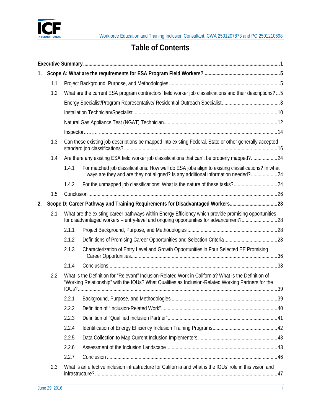

# **Table of Contents**

| $1_{\cdot}$ |     |       |                                                                                                                                                                                                             |  |  |  |  |  |
|-------------|-----|-------|-------------------------------------------------------------------------------------------------------------------------------------------------------------------------------------------------------------|--|--|--|--|--|
|             | 1.1 |       |                                                                                                                                                                                                             |  |  |  |  |  |
|             | 1.2 |       | What are the current ESA program contractors' field worker job classifications and their descriptions?5                                                                                                     |  |  |  |  |  |
|             |     |       |                                                                                                                                                                                                             |  |  |  |  |  |
|             |     |       |                                                                                                                                                                                                             |  |  |  |  |  |
|             |     |       |                                                                                                                                                                                                             |  |  |  |  |  |
|             |     |       |                                                                                                                                                                                                             |  |  |  |  |  |
|             | 1.3 |       | Can these existing job descriptions be mapped into existing Federal, State or other generally accepted                                                                                                      |  |  |  |  |  |
|             | 1.4 |       | Are there any existing ESA field worker job classifications that can't be properly mapped?24                                                                                                                |  |  |  |  |  |
|             |     | 1.4.1 | For matched job classifications: How well do ESA jobs align to existing classifications? In what<br>ways are they and are they not aligned? Is any additional information needed?24                         |  |  |  |  |  |
|             |     | 1.4.2 |                                                                                                                                                                                                             |  |  |  |  |  |
|             | 1.5 |       |                                                                                                                                                                                                             |  |  |  |  |  |
| 2.          |     |       |                                                                                                                                                                                                             |  |  |  |  |  |
|             | 2.1 |       | What are the existing career pathways within Energy Efficiency which provide promising opportunities<br>for disadvantaged workers - entry-level and ongoing opportunities for advancement?28                |  |  |  |  |  |
|             |     | 2.1.1 |                                                                                                                                                                                                             |  |  |  |  |  |
|             |     | 2.1.2 |                                                                                                                                                                                                             |  |  |  |  |  |
|             |     | 2.1.3 | Characterization of Entry Level and Growth Opportunities in Four Selected EE Promising                                                                                                                      |  |  |  |  |  |
|             |     | 2.1.4 |                                                                                                                                                                                                             |  |  |  |  |  |
|             | 2.2 |       | What is the Definition for "Relevant" Inclusion-Related Work in California? What is the Definition of<br>"Working Relationship" with the IOUs? What Qualifies as Inclusion-Related Working Partners for the |  |  |  |  |  |
|             |     | 2.2.1 |                                                                                                                                                                                                             |  |  |  |  |  |
|             |     | 2.2.2 |                                                                                                                                                                                                             |  |  |  |  |  |
|             |     | 2.2.3 |                                                                                                                                                                                                             |  |  |  |  |  |
|             |     | 2.2.4 |                                                                                                                                                                                                             |  |  |  |  |  |
|             |     | 2.2.5 |                                                                                                                                                                                                             |  |  |  |  |  |
|             |     | 2.2.6 |                                                                                                                                                                                                             |  |  |  |  |  |
|             |     | 2.2.7 |                                                                                                                                                                                                             |  |  |  |  |  |
|             | 2.3 |       | What is an effective inclusion infrastructure for California and what is the IOUs' role in this vision and                                                                                                  |  |  |  |  |  |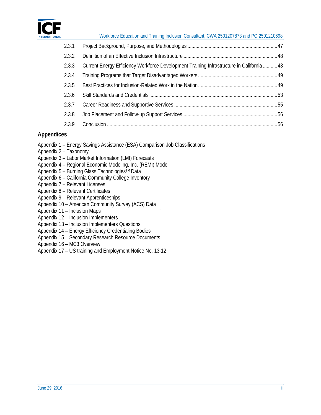

| 2.3.1 |                                                                                          |  |
|-------|------------------------------------------------------------------------------------------|--|
| 2.3.2 |                                                                                          |  |
| 2.3.3 | Current Energy Efficiency Workforce Development Training Infrastructure in California 48 |  |
| 2.3.4 |                                                                                          |  |
| 2.3.5 |                                                                                          |  |
| 2.3.6 |                                                                                          |  |
| 2.3.7 |                                                                                          |  |
| 2.3.8 |                                                                                          |  |
| 2.3.9 |                                                                                          |  |

#### **Appendices**

- Appendix 1 Energy Savings Assistance (ESA) Comparison Job Classifications
- Appendix 2 Taxonomy
- Appendix 3 Labor Market Information (LMI) Forecasts
- Appendix 4 Regional Economic Modeling, Inc. (REMI) Model
- Appendix 5 Burning Glass Technologies™ Data
- Appendix 6 California Community College Inventory
- Appendix 7 Relevant Licenses
- Appendix 8 Relevant Certificates
- Appendix 9 Relevant Apprenticeships
- Appendix 10 American Community Survey (ACS) Data
- Appendix 11 Inclusion Maps
- Appendix 12 Inclusion Implementers
- Appendix 13 Inclusion Implementers Questions
- Appendix 14 Energy Efficiency Credentialing Bodies
- Appendix 15 Secondary Research Resource Documents
- Appendix 16 MC3 Overview
- Appendix 17 US training and Employment Notice No. 13-12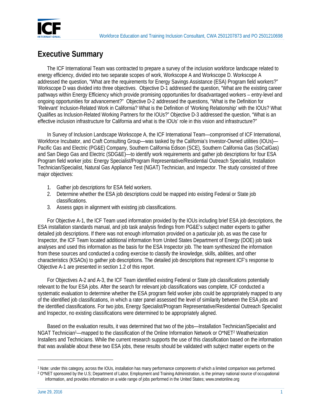

# **Executive Summary**

The ICF International Team was contracted to prepare a survey of the inclusion workforce landscape related to energy efficiency, divided into two separate scopes of work, Workscope A and Workscope D. Workscope A addressed the question, "What are the requirements for Energy Savings Assistance (ESA) Program field workers?" Workscope D was divided into three objectives. Objective D-1 addressed the question, "What are the existing career pathways within Energy Efficiency which provide promising opportunities for disadvantaged workers – entry-level and ongoing opportunities for advancement?" Objective D-2 addressed the questions, "What is the Definition for 'Relevant' Inclusion-Related Work in California? What is the Definition of 'Working Relationship' with the IOUs? What Qualifies as Inclusion-Related Working Partners for the IOUs?" Objective D-3 addressed the question, "What is an effective inclusion infrastructure for California and what is the IOUs' role in this vision and infrastructure?"

In Survey of Inclusion Landscape Workscope A, the ICF International Team—compromised of ICF International, Workforce Incubator, and Craft Consulting Group—was tasked by the California's Investor-Owned utilities (IOUs)— Pacific Gas and Electric (PG&E) Company, Southern California Edison (SCE), Southern California Gas (SoCalGas) and San Diego Gas and Electric (SDG&E)—to identify work requirements and gather job descriptions for four ESA Program field worker jobs: Energy Specialist/Program Representative/Residential Outreach Specialist, Installation Technician/Specialist, Natural Gas Appliance Test (NGAT) Technician, and Inspector. The study consisted of three major objectives:

- 1. Gather job descriptions for ESA field workers.
- 2. Determine whether the ESA job descriptions could be mapped into existing Federal or State job classifications.
- 3. Assess gaps in alignment with existing job classifications.

For Objective A-1, the ICF Team used information provided by the IOUs including brief ESA job descriptions, the ESA installation standards manual, and job task analysis findings from PG&E's subject matter experts to gather detailed job descriptions. If there was not enough information provided on a particular job, as was the case for Inspector, the ICF Team located additional information from United States Department of Energy (DOE) job task analyses and used this information as the basis for the ESA Inspector job. The team synthesized the information from these sources and conducted a coding exercise to classify the knowledge, skills, abilities, and other characteristics (KSAOs) to gather job descriptions. The detailed job descriptions that represent ICF's response to Objective A-1 are presented in section 1.2 of this report.

For Objectives A-2 and A-3, the ICF Team identified existing Federal or State job classifications potentially relevant to the four ESA jobs. After the search for relevant job classifications was complete, ICF conducted a systematic evaluation to determine whether the ESA program field worker jobs could be appropriately mapped to any of the identified job classifications, in which a rater panel assessed the level of similarity between the ESA jobs and the identified classifications. For two jobs, Energy Specialist/Program Representative/Residential Outreach Specialist and Inspector, no existing classifications were determined to be appropriately aligned.

Based on the evaluation results, it was determined that two of the jobs—Installation Technician/Specialist and NGAT Technician1—mapped to the classification of the Online Information Network or O\*NET2 Weatherization Installers and Technicians. While the current research supports the use of this classification based on the information that was available about these two ESA jobs, these results should be validated with subject matter experts on the

<u>.</u>

<sup>&</sup>lt;sup>1</sup> Note: under this category, across the IOUs, installation has many performance components of which a limited comparison was performed.<br><sup>2</sup> O\*NET sponsored by the U.S; Department of Labor, Employment and Training Adminis information, and provides information on a wide range of jobs performed in the United States; www.onetonline.org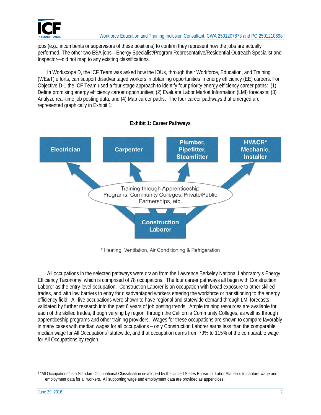

jobs (e.g., incumbents or supervisors of these positions) to confirm they represent how the jobs are actually performed. The other two ESA jobs—Energy Specialist/Program Representative/Residential Outreach Specialist and Inspector—did not map to any existing classifications.

In Workscope D, the ICF Team was asked how the IOUs, through their Workforce, Education, and Training (WE&T) efforts, can support disadvantaged workers in obtaining opportunities in energy efficiency (EE) careers. For Objective D-1,the ICF Team used a four-stage approach to identify four priority energy efficiency career paths: (1) Define promising energy efficiency career opportunities; (2) Evaluate Labor Market Information (LMI) forecasts; (3) Analyze real-time job posting data; and (4) Map career paths. The four career pathways that emerged are represented graphically in Exhibit 1:



#### **Exhibit 1: Career Pathways**

\* Heating, Ventilation, Air Conditioning & Refrigeration

All occupations in the selected pathways were drawn from the Lawrence Berkeley National Laboratory's Energy Efficiency Taxonomy, which is comprised of 78 occupations. The four career pathways all begin with Construction Laborer as the entry-level occupation. Construction Laborer is an occupation with broad exposure to other skilled trades, and with low barriers to entry for disadvantaged workers entering the workforce or transitioning to the energy efficiency field. All five occupations were shown to have regional and statewide demand through LMI forecasts validated by further research into the past 6 years of job posting trends. Ample training resources are available for each of the skilled trades, though varying by region, through the California Community Colleges, as well as through apprenticeship programs and other training providers. Wages for these occupations are shown to compare favorably in many cases with median wages for all occupations – only Construction Laborer earns less than the comparable median wage for All Occupations<sup>3</sup> statewide, and that occupation earns from 79% to 115% of the comparable wage for All Occupations by region.

<sup>&</sup>lt;sup>3</sup> "All Occupations" is a Standard Occupational Classification developed by the United States Bureau of Labor Statistics to capture wage and employment data for all workers. All supporting wage and employment data are provided as appendices.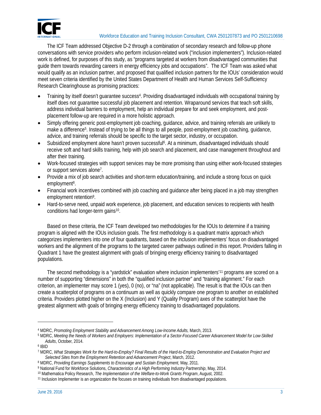

The ICF Team addressed Objective D-2 through a combination of secondary research and follow-up phone conversations with service providers who perform inclusion-related work ("inclusion implementers"). Inclusion-related work is defined, for purposes of this study, as "programs targeted at workers from disadvantaged communities that guide them towards rewarding careers in energy efficiency jobs and occupations". The ICF Team was asked what would qualify as an inclusion partner, and proposed that qualified inclusion partners for the IOUs' consideration would meet seven criteria identified by the United States Department of Health and Human Services Self-Sufficiency Research Clearinghouse as promising practices:

- Training by itself doesn't guarantee success4. Providing disadvantaged individuals with occupational training by itself does not guarantee successful job placement and retention. Wraparound services that teach soft skills, address individual barriers to employment, help an individual prepare for and seek employment, and postplacement follow-up are required in a more holistic approach.
- Simply offering generic post-employment job coaching, guidance, advice, and training referrals are unlikely to make a difference<sup>5</sup>. Instead of trying to be all things to all people, post-employment job coaching, quidance, advice, and training referrals should be specific to the target sector, industry, or occupation.
- Subsidized employment alone hasn't proven successful6. At a minimum, disadvantaged individuals should receive soft and hard skills training, help with job search and placement, and case management throughout and after their training.
- Work-focused strategies with support services may be more promising than using either work-focused strategies or support services alone7.
- Provide a mix of job search activities and short-term education/training, and include a strong focus on quick employment<sup>8</sup>.
- Financial work incentives combined with job coaching and guidance after being placed in a job may strengthen employment retention9.
- Hard-to-serve need, unpaid work experience, job placement, and education services to recipients with health conditions had longer-term gains10.

Based on these criteria, the ICF Team developed two methodologies for the IOUs to determine if a training program is aligned with the IOUs inclusion goals. The first methodology is a quadrant matrix approach which categorizes implementers into one of four quadrants, based on the inclusion implementers' focus on disadvantaged workers and the alignment of the programs to the targeted career pathways outlined in this report. Providers falling in Quadrant 1 have the greatest alignment with goals of bringing energy efficiency training to disadvantaged populations.

The second methodology is a "yardstick" evaluation where inclusion implementers'11 programs are scored on a number of supporting "dimensions" in both the "qualified inclusion partner" and "training alignment." For each criterion, an implementer may score 1 (yes), 0 (no), or "na" (not applicable). The result is that the IOUs can then create a scatterplot of programs on a continuum as well as quickly compare one program to another on established criteria. Providers plotted higher on the X (Inclusion) and Y (Quality Program) axes of the scatterplot have the greatest alignment with goals of bringing energy efficiency training to disadvantaged populations.

 $\overline{\phantom{0}}$ 

<sup>4</sup> MDRC, *Promoting Employment Stability and Advancement Among Low-Income Adults,* March, 2013.

<sup>5</sup> MDRC, *Meeting the Needs of Workers and Employers: Implementation of a Sector-Focused Career Advancement Model for Low-Skilled Adults*, October, 2014. 6 IBID

<sup>7</sup> MDRC, *What Strategies Work for the Hard-to-Employ? Final Results of the Hard-to-Employ Demonstration and Evaluation Project and* 

<sup>&</sup>lt;sup>8</sup> MDRC, *Providing Earnings Supplements to Encourage and Sustain Employment*, May, 2011.<br>
<sup>9</sup> National Fund for Workforce Solutions, *Characteristics of a High Performing Industry Partnership*, May, 2014.<br>
<sup>10</sup> Mathemati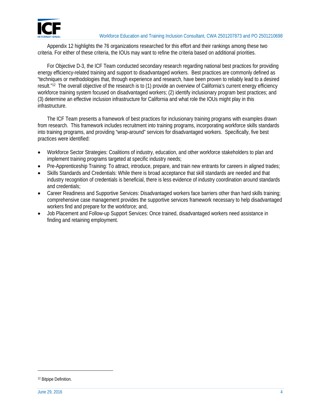

Appendix 12 highlights the 76 organizations researched for this effort and their rankings among these two criteria. For either of these criteria, the IOUs may want to refine the criteria based on additional priorities.

For Objective D-3, the ICF Team conducted secondary research regarding national best practices for providing energy efficiency-related training and support to disadvantaged workers. Best practices are commonly defined as "techniques or methodologies that, through experience and research, have been proven to reliably lead to a desired result."12 The overall objective of the research is to (1) provide an overview of California's current energy efficiency workforce training system focused on disadvantaged workers; (2) identify inclusionary program best practices; and (3) determine an effective inclusion infrastructure for California and what role the IOUs might play in this infrastructure.

The ICF Team presents a framework of best practices for inclusionary training programs with examples drawn from research. This framework includes recruitment into training programs, incorporating workforce skills standards into training programs, and providing "wrap-around" services for disadvantaged workers. Specifically, five best practices were identified:

- Workforce Sector Strategies: Coalitions of industry, education, and other workforce stakeholders to plan and implement training programs targeted at specific industry needs;
- Pre-Apprenticeship Training: To attract, introduce, prepare, and train new entrants for careers in aligned trades;
- Skills Standards and Credentials: While there is broad acceptance that skill standards are needed and that industry recognition of credentials is beneficial, there is less evidence of industry coordination around standards and credentials;
- Career Readiness and Supportive Services: Disadvantaged workers face barriers other than hard skills training; comprehensive case management provides the supportive services framework necessary to help disadvantaged workers find and prepare for the workforce; and,
- Job Placement and Follow-up Support Services: Once trained, disadvantaged workers need assistance in finding and retaining employment.

 $\overline{\phantom{0}}$ 

<sup>12</sup> Bitpipe Definition.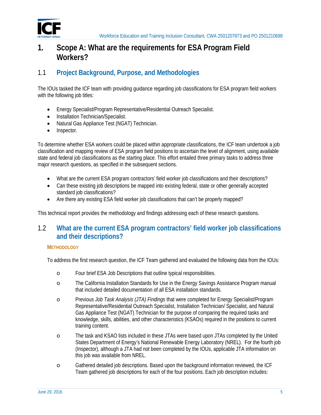

# **1. Scope A: What are the requirements for ESA Program Field Workers?**

### 1.1 **Project Background, Purpose, and Methodologies**

The IOUs tasked the ICF team with providing guidance regarding job classifications for ESA program field workers with the following job titles:

- Energy Specialist/Program Representative/Residential Outreach Specialist.
- Installation Technician/Specialist.
- Natural Gas Appliance Test (NGAT) Technician.
- Inspector.

To determine whether ESA workers could be placed within appropriate classifications, the ICF team undertook a job classification and mapping review of ESA program field positions to ascertain the level of alignment, using available state and federal job classifications as the starting place. This effort entailed three primary tasks to address three major research questions, as specified in the subsequent sections.

- What are the current ESA program contractors' field worker job classifications and their descriptions?
- Can these existing job descriptions be mapped into existing federal, state or other generally accepted standard job classifications?
- Are there any existing ESA field worker job classifications that can't be properly mapped?

This technical report provides the methodology and findings addressing each of these research questions.

### 1.2 **What are the current ESA program contractors' field worker job classifications and their descriptions?**

#### **METHODOLOGY**

To address the first research question, the ICF Team gathered and evaluated the following data from the IOUs:

- o Four brief ESA Job Descriptions that outline typical responsibilities.
- o The California Installation Standards for Use in the Energy Savings Assistance Program manual that included detailed documentation of all ESA installation standards.
- o Previous *Job Task Analysis (JTA) Findings* that were completed for Energy Specialist/Program Representative/Residential Outreach Specialist, Installation Technician/ Specialist, and Natural Gas Appliance Test (NGAT) Technician for the purpose of comparing the required tasks and knowledge, skills, abilities, and other characteristics (KSAOs) required in the positions to current training content.
- o The task and KSAO lists included in these JTAs were based upon JTAs completed by the United States Department of Energy's National Renewable Energy Laboratory (NREL). For the fourth job (Inspector), although a JTA had not been completed by the IOUs, applicable JTA information on this job was available from NREL.
- o Gathered detailed job descriptions. Based upon the background information reviewed, the ICF Team gathered job descriptions for each of the four positions. Each job description includes: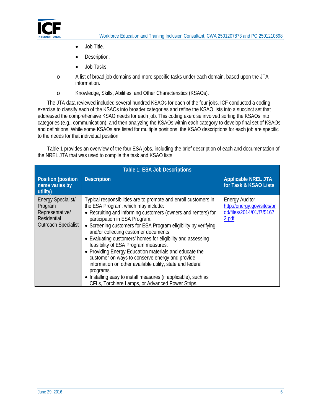

- Job Title.
- Description.
- Job Tasks.
- o A list of broad job domains and more specific tasks under each domain, based upon the JTA information.
- o Knowledge, Skills, Abilities, and Other Characteristics (KSAOs).

The JTA data reviewed included several hundred KSAOs for each of the four jobs. ICF conducted a coding exercise to classify each of the KSAOs into broader categories and refine the KSAO lists into a succinct set that addressed the comprehensive KSAO needs for each job. This coding exercise involved sorting the KSAOs into categories (e.g., communication), and then analyzing the KSAOs within each category to develop final set of KSAOs and definitions. While some KSAOs are listed for multiple positions, the KSAO descriptions for each job are specific to the needs for that individual position.

Table 1 provides an overview of the four ESA jobs, including the brief description of each and documentation of the NREL JTA that was used to compile the task and KSAO lists.

| <b>Table 1: ESA Job Descriptions</b>                                                          |                                                                                                                                                                                                                                                                                                                                                                                                                                                                                                                                                                                                                                                                                                                                         |                                                                                          |  |  |  |  |  |  |  |
|-----------------------------------------------------------------------------------------------|-----------------------------------------------------------------------------------------------------------------------------------------------------------------------------------------------------------------------------------------------------------------------------------------------------------------------------------------------------------------------------------------------------------------------------------------------------------------------------------------------------------------------------------------------------------------------------------------------------------------------------------------------------------------------------------------------------------------------------------------|------------------------------------------------------------------------------------------|--|--|--|--|--|--|--|
| <b>Position (position</b><br>name varies by<br>utility)                                       | <b>Description</b>                                                                                                                                                                                                                                                                                                                                                                                                                                                                                                                                                                                                                                                                                                                      | <b>Applicable NREL JTA</b><br>for Task & KSAO Lists                                      |  |  |  |  |  |  |  |
| Energy Specialist/<br>Program<br>Representative/<br>Residential<br><b>Outreach Specialist</b> | Typical responsibilities are to promote and enroll customers in<br>the ESA Program, which may include:<br>• Recruiting and informing customers (owners and renters) for<br>participation in ESA Program.<br>• Screening customers for ESA Program eligibility by verifying<br>and/or collecting customer documents.<br>• Evaluating customers' homes for eligibility and assessing<br>feasibility of ESA Program measures.<br>• Providing Energy Education materials and educate the<br>customer on ways to conserve energy and provide<br>information on other available utility, state and federal<br>programs.<br>• Installing easy to install measures (if applicable), such as<br>CFLs, Torchiere Lamps, or Advanced Power Strips. | <b>Energy Auditor</b><br>http://energy.gov/sites/pr<br>od/files/2014/01/f7/5167<br>2.pdf |  |  |  |  |  |  |  |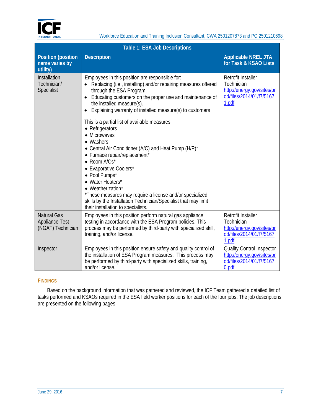

| <b>Table 1: ESA Job Descriptions</b>                             |                                                                                                                                                                                                                                                                                                                                                                                                                                                                                     |                                                                                                            |  |  |  |  |  |  |  |  |
|------------------------------------------------------------------|-------------------------------------------------------------------------------------------------------------------------------------------------------------------------------------------------------------------------------------------------------------------------------------------------------------------------------------------------------------------------------------------------------------------------------------------------------------------------------------|------------------------------------------------------------------------------------------------------------|--|--|--|--|--|--|--|--|
| <b>Position (position</b><br>name varies by<br>utility)          | <b>Description</b>                                                                                                                                                                                                                                                                                                                                                                                                                                                                  | <b>Applicable NREL JTA</b><br>for Task & KSAO Lists                                                        |  |  |  |  |  |  |  |  |
| Installation<br>Technician/<br>Specialist                        | Employees in this position are responsible for:<br>Replacing (i.e., installing) and/or repairing measures offered<br>through the ESA Program.<br>Educating customers on the proper use and maintenance of<br>the installed measure(s).<br>Explaining warranty of installed measure(s) to customers<br>$\bullet$                                                                                                                                                                     | Retrofit Installer<br>Technician<br>http://energy.gov/sites/pr<br>od/files/2014/01/f7/5167<br>1.pdf        |  |  |  |  |  |  |  |  |
|                                                                  | This is a partial list of available measures:<br>• Refrigerators<br>• Microwaves<br>• Washers<br>• Central Air Conditioner (A/C) and Heat Pump (H/P)*<br>· Furnace repair/replacement*<br>$\bullet$ Room A/Cs <sup>*</sup><br>• Evaporative Coolers*<br>• Pool Pumps*<br>• Water Heaters*<br>• Weatherization*<br>*These measures may require a license and/or specialized<br>skills by the Installation Technician/Specialist that may limit<br>their installation to specialists. |                                                                                                            |  |  |  |  |  |  |  |  |
| <b>Natural Gas</b><br><b>Appliance Test</b><br>(NGAT) Technician | Employees in this position perform natural gas appliance<br>testing in accordance with the ESA Program policies. This<br>process may be performed by third-party with specialized skill,<br>training, and/or license.                                                                                                                                                                                                                                                               | <b>Retrofit Installer</b><br>Technician<br>http://energy.gov/sites/pr<br>od/files/2014/01/f7/5167<br>1.pdf |  |  |  |  |  |  |  |  |
| Inspector                                                        | Employees in this position ensure safety and quality control of<br>the installation of ESA Program measures. This process may<br>be performed by third-party with specialized skills, training,<br>and/or license.                                                                                                                                                                                                                                                                  | <b>Quality Control Inspector</b><br>http://energy.gov/sites/pr<br>od/files/2014/01/f7/5167<br>0.pdf        |  |  |  |  |  |  |  |  |

#### **FINDINGS**

Based on the background information that was gathered and reviewed, the ICF Team gathered a detailed list of tasks performed and KSAOs required in the ESA field worker positions for each of the four jobs. The job descriptions are presented on the following pages.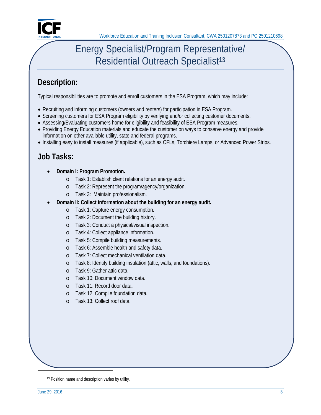

# Energy Specialist/Program Representative/ Residential Outreach Specialist<sup>13</sup>

# **Description:**

Typical responsibilities are to promote and enroll customers in the ESA Program, which may include:

- Recruiting and informing customers (owners and renters) for participation in ESA Program.
- Screening customers for ESA Program eligibility by verifying and/or collecting customer documents.
- Assessing/Evaluating customers home for eligibility and feasibility of ESA Program measures.
- Providing Energy Education materials and educate the customer on ways to conserve energy and provide information on other available utility, state and federal programs.
- Installing easy to install measures (if applicable), such as CFLs, Torchiere Lamps, or Advanced Power Strips.

# **Job Tasks:**

- **Domain I: Program Promotion.** 
	- o Task 1: Establish client relations for an energy audit.
	- o Task 2: Represent the program/agency/organization.
	- o Task 3: Maintain professionalism.
- **Domain II: Collect information about the building for an energy audit.** 
	- o Task 1: Capture energy consumption.
	- o Task 2: Document the building history.
	- o Task 3: Conduct a physical/visual inspection.
	- o Task 4: Collect appliance information.
	- o Task 5: Compile building measurements.
	- o Task 6: Assemble health and safety data.
	- o Task 7: Collect mechanical ventilation data.
	- o Task 8: Identify building insulation (attic, walls, and foundations).
	- o Task 9: Gather attic data.
	- o Task 10: Document window data.
	- o Task 11: Record door data.
	- o Task 12: Compile foundation data.
	- o Task 13: Collect roof data.

 $\overline{\phantom{0}}$ 

<sup>13</sup> Position name and description varies by utility.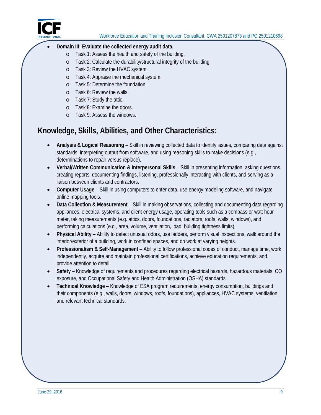

#### **Domain III: Evaluate the collected energy audit data.**

- o Task 1: Assess the health and safety of the building.
- o Task 2: Calculate the durability/structural integrity of the building.
- o Task 3: Review the HVAC system.
- o Task 4: Appraise the mechanical system.
- o Task 5: Determine the foundation.
- o Task 6: Review the walls.
- o Task 7: Study the attic.
- o Task 8: Examine the doors.
- o Task 9: Assess the windows.

# **Knowledge, Skills, Abilities, and Other Characteristics:**

- **Analysis & Logical Reasoning** Skill in reviewing collected data to identify issues, comparing data against standards, interpreting output from software, and using reasoning skills to make decisions (e.g., determinations to repair versus replace).
- **Verbal/Written Communication & Interpersonal Skills**  Skill in presenting information, asking questions, creating reports, documenting findings, listening, professionally interacting with clients, and serving as a liaison between clients and contractors.
- **Computer Usage** Skill in using computers to enter data, use energy modeling software, and navigate online mapping tools.
- appliances, electrical systems, and client energy usage, operating tools such as a compass or watt hour **Data Collection & Measurement** – Skill in making observations, collecting and documenting data regarding meter, taking measurements (e.g. attics, doors, foundations, radiators, roofs, walls, windows), and performing calculations (e.g., area, volume, ventilation, load, building tightness limits).
- **Physical Ability Ability to detect unusual odors, use ladders, perform visual inspections, walk around the** interior/exterior of a building, work in confined spaces, and do work at varying heights.
- **Professionalism & Self-Management** Ability to follow professional codes of conduct, manage time, work independently, acquire and maintain professional certifications, achieve education requirements, and provide attention to detail.
- **Safety** Knowledge of requirements and procedures regarding electrical hazards, hazardous materials, CO exposure, and Occupational Safety and Health Administration (OSHA) standards.
- **Technical Knowledge**  Knowledge of ESA program requirements, energy consumption, buildings and their components (e.g., walls, doors, windows, roofs, foundations), appliances, HVAC systems, ventilation, and relevant technical standards.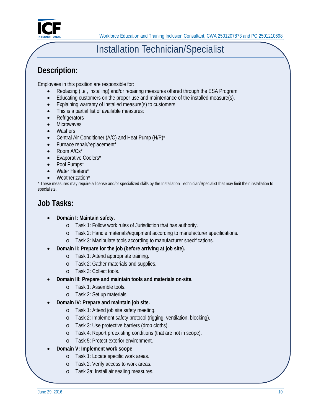

# Installation Technician/Specialist

# **Description:**

Employees in this position are responsible for:

- Replacing (i.e., installing) and/or repairing measures offered through the ESA Program.
- Educating customers on the proper use and maintenance of the installed measure(s).
- Explaining warranty of installed measure(s) to customers
- This is a partial list of available measures:
- **Refrigerators**
- Microwaves
- Washers
- Central Air Conditioner (A/C) and Heat Pump (H/P)\*
- Furnace repair/replacement\*
- Room A/Cs<sup>\*</sup>
- Evaporative Coolers\*
- Pool Pumps\*
- Water Heaters\*
- Weatherization\*

\* These measures may require a license and/or specialized skills by the Installation Technician/Specialist that may limit their installation to specialists.

# **Job Tasks:**

- **Domain I: Maintain safety.** 
	- o Task 1: Follow work rules of Jurisdiction that has authority.
	- o Task 2: Handle materials/equipment according to manufacturer specifications.
	- o Task 3: Manipulate tools according to manufacturer specifications.
- **Domain II: Prepare for the job (before arriving at job site).** 
	- o Task 1: Attend appropriate training.
	- o Task 2: Gather materials and supplies.
	- o Task 3: Collect tools.
- **Domain III: Prepare and maintain tools and materials on-site.** 
	- o Task 1: Assemble tools.
	- o Task 2: Set up materials.
- **Domain IV: Prepare and maintain job site.** 
	- o Task 1: Attend job site safety meeting.
	- o Task 2: Implement safety protocol (rigging, ventilation, blocking).
	- o Task 3: Use protective barriers (drop cloths).
	- o Task 4: Report preexisting conditions (that are not in scope).
	- o Task 5: Protect exterior environment.
- **Domain V: Implement work scope** 
	- o Task 1: Locate specific work areas.
	- o Task 2: Verify access to work areas.
	- o Task 3a: Install air sealing measures.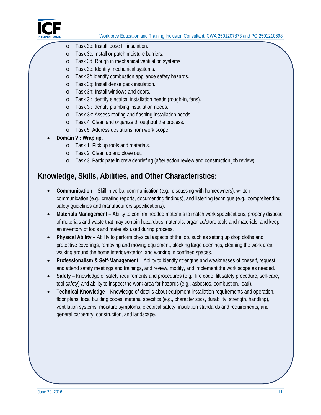

- o Task 3b: Install loose fill insulation.
- o Task 3c: Install or patch moisture barriers.
- o Task 3d: Rough in mechanical ventilation systems.
- o Task 3e: Identify mechanical systems.
- o Task 3f: Identify combustion appliance safety hazards.
- o Task 3g: Install dense pack insulation.
- o Task 3h: Install windows and doors.
- o Task 3i: Identify electrical installation needs (rough-in, fans).
- o Task 3j: Identify plumbing installation needs.
- o Task 3k: Assess roofing and flashing installation needs.
- o Task 4: Clean and organize throughout the process.
- o Task 5: Address deviations from work scope.
- **Domain VI: Wrap up.** 
	- o Task 1: Pick up tools and materials.
	- o Task 2: Clean up and close out.
	- o Task 3: Participate in crew debriefing (after action review and construction job review).

# **Knowledge, Skills, Abilities, and Other Characteristics:**

- **Communication**  Skill in verbal communication (e.g., discussing with homeowners), written communication (e.g., creating reports, documenting findings), and listening technique (e.g., comprehending safety guidelines and manufacturers specifications).
- Materials Management Ability to confirm needed materials to match work specifications, properly dispose of materials and waste that may contain hazardous materials, organize/store tools and materials, and keep an inventory of tools and materials used during process.
- **Physical Ability**  Ability to perform physical aspects of the job, such as setting up drop cloths and protective coverings, removing and moving equipment, blocking large openings, cleaning the work area, walking around the home interior/exterior, and working in confined spaces.
- **Professionalism & Self-Management**  Ability to identify strengths and weaknesses of oneself, request and attend safety meetings and trainings, and review, modify, and implement the work scope as needed.
- **Safety** Knowledge of safety requirements and procedures (e.g., fire code, lift safety procedure, self-care, tool safety) and ability to inspect the work area for hazards (e.g., asbestos, combustion, lead).
- **Technical Knowledge**  Knowledge of details about equipment installation requirements and operation, floor plans, local building codes, material specifics (e.g., characteristics, durability, strength, handling), ventilation systems, moisture symptoms, electrical safety, insulation standards and requirements, and general carpentry, construction, and landscape.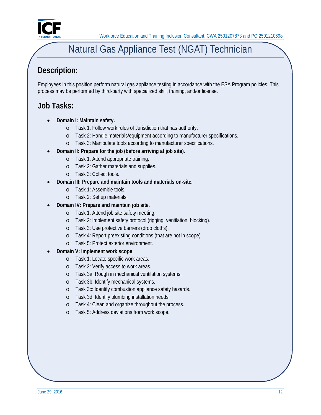

# Natural Gas Appliance Test (NGAT) Technician

# **Description:**

Employees in this position perform natural gas appliance testing in accordance with the ESA Program policies. This process may be performed by third-party with specialized skill, training, and/or license.

# **Job Tasks:**

- **Domain I: Maintain safety.** 
	- o Task 1: Follow work rules of Jurisdiction that has authority.
	- o Task 2: Handle materials/equipment according to manufacturer specifications.
	- o Task 3: Manipulate tools according to manufacturer specifications.
- **Domain II: Prepare for the job (before arriving at job site).** 
	- o Task 1: Attend appropriate training.
	- o Task 2: Gather materials and supplies.
	- o Task 3: Collect tools.
- **Domain III: Prepare and maintain tools and materials on-site.** 
	- o Task 1: Assemble tools.
	- o Task 2: Set up materials.
- **Domain IV: Prepare and maintain job site.** 
	- o Task 1: Attend job site safety meeting.
	- o Task 2: Implement safety protocol (rigging, ventilation, blocking).
	- o Task 3: Use protective barriers (drop cloths).
	- o Task 4: Report preexisting conditions (that are not in scope).
	- o Task 5: Protect exterior environment.
- **Domain V: Implement work scope** 
	- o Task 1: Locate specific work areas.
	- o Task 2: Verify access to work areas.
	- o Task 3a: Rough in mechanical ventilation systems.
	- o Task 3b: Identify mechanical systems.
	- o Task 3c: Identify combustion appliance safety hazards.
	- o Task 3d: Identify plumbing installation needs.
	- o Task 4: Clean and organize throughout the process.
	- o Task 5: Address deviations from work scope.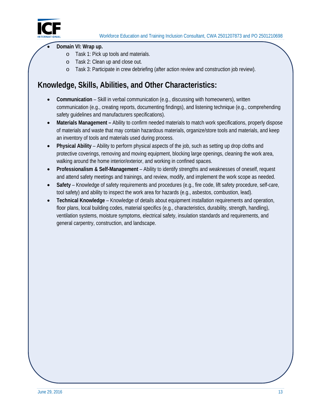

#### **Domain VI: Wrap up.**

- o Task 1: Pick up tools and materials.
- o Task 2: Clean up and close out.
- o Task 3: Participate in crew debriefing (after action review and construction job review).

# **Knowledge, Skills, Abilities, and Other Characteristics:**

- **Communication**  Skill in verbal communication (e.g., discussing with homeowners), written communication (e.g., creating reports, documenting findings), and listening technique (e.g., comprehending safety guidelines and manufacturers specifications).
- **Materials Management** Ability to confirm needed materials to match work specifications, properly dispose of materials and waste that may contain hazardous materials, organize/store tools and materials, and keep an inventory of tools and materials used during process.
- **Physical Ability**  Ability to perform physical aspects of the job, such as setting up drop cloths and protective coverings, removing and moving equipment, blocking large openings, cleaning the work area, walking around the home interior/exterior, and working in confined spaces.
- **Professionalism & Self-Management**  Ability to identify strengths and weaknesses of oneself, request and attend safety meetings and trainings, and review, modify, and implement the work scope as needed.
- **Safety** Knowledge of safety requirements and procedures (e.g., fire code, lift safety procedure, self-care, tool safety) and ability to inspect the work area for hazards (e.g., asbestos, combustion, lead).
- **Technical Knowledge**  Knowledge of details about equipment installation requirements and operation, floor plans, local building codes, material specifics (e.g., characteristics, durability, strength, handling), ventilation systems, moisture symptoms, electrical safety, insulation standards and requirements, and general carpentry, construction, and landscape.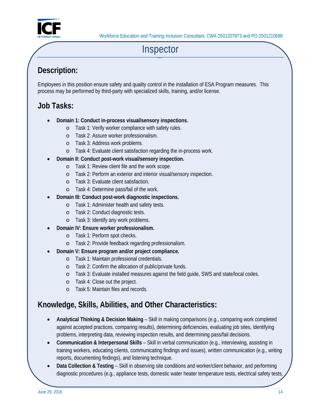

# … Inspector

# **Description:**

Employees in this position ensure safety and quality control in the installation of ESA Program measures. This process may be performed by third-party with specialized skills, training, and/or license.

# **Job Tasks:**

- **Domain 1: Conduct in-process visual/sensory inspections.** 
	- o Task 1: Verify worker compliance with safety rules.
	- o Task 2: Assure worker professionalism.
	- o Task 3: Address work problems.
	- o Task 4: Evaluate client satisfaction regarding the in-process work.
- **Domain II: Conduct post-work visual/sensory inspection.** 
	- o Task 1: Review client file and the work scope.
	- o Task 2: Perform an exterior and interior visual/sensory inspection.
	- o Task 3: Evaluate client satisfaction.
	- o Task 4: Determine pass/fail of the work.
- **Domain III: Conduct post-work diagnostic inspections.** 
	- o Task 1: Administer health and safety tests.
	- o Task 2: Conduct diagnostic tests.
	- o Task 3: Identify any work problems.
- **Domain IV: Ensure worker professionalism.** 
	- o Task 1: Perform spot checks.
	- o Task 2: Provide feedback regarding professionalism.
- **Domain V: Ensure program and/or project compliance.** 
	- o Task 1: Maintain professional credentials.
	- o Task 2: Confirm the allocation of public/private funds.
	- o Task 3: Evaluate installed measures against the field guide, SWS and state/local codes.
	- o Task 4: Close out the project.
	- o Task 5: Maintain files and records.

# **Knowledge, Skills, Abilities, and Other Characteristics:**

- **Analytical Thinking & Decision Making** Skill in making comparisons (e.g., comparing work completed against accepted practices, comparing results), determining deficiencies, evaluating job sites, identifying problems, interpreting data, reviewing inspection results, and determining pass/fail decisions.
- **Communication & Interpersonal Skills**  Skill in verbal communication (e.g., interviewing, assisting in training workers, educating clients, communicating findings and issues), written communication (e.g., writing reports, documenting findings), and listening technique.
- **Data Collection & Testing Skill in observing site conditions and worker/client behavior, and performing** diagnostic procedures (e.g., appliance tests, domestic water heater temperature tests, electrical safety tests,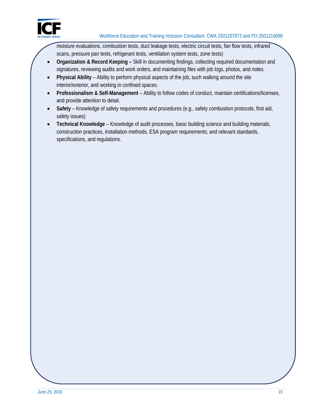

moisture evaluations, combustion tests, duct leakage tests, electric circuit tests, fan flow tests, infrared scans, pressure pan tests, refrigerant tests, ventilation system tests, zone tests)

- **Organization & Record Keeping** Skill in documenting findings, collecting required documentation and signatures, reviewing audits and work orders, and maintaining files with job logs, photos, and notes.
- **Physical Ability**  Ability to perform physical aspects of the job, such walking around the site interior/exterior, and working in confined spaces.
- **Professionalism & Self-Management** Ability to follow codes of conduct, maintain certifications/licenses, and provide attention to detail.
- **Safety** Knowledge of safety requirements and procedures (e.g., safety combustion protocols, first aid, safety issues)
- **Technical Knowledge**  Knowledge of audit processes, basic building science and building materials, construction practices, installation methods, ESA program requirements; and relevant standards, specifications, and regulations.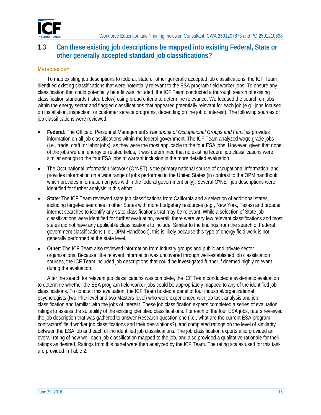

## 1.3 **Can these existing job descriptions be mapped into existing Federal, State or other generally accepted standard job classifications?**

#### **METHODOLOGY**

To map existing job descriptions to federal, state or other generally accepted job classifications, the ICF Team identified existing classifications that were potentially relevant to the ESA program field worker jobs. To ensure any classification that could potentially be a fit was included, the ICF Team conducted a thorough search of existing classification standards (listed below) using broad criteria to determine relevance. We focused the search on jobs within the energy sector and flagged classifications that appeared potentially relevant for each job (e.g., jobs focused on installation, inspection, or customer service programs, depending on the job of interest). The following sources of job classifications were reviewed:

- **Federal**: The Office of Personnel Management's *Handbook of Occupational Groups and Families* provides information on all job classifications within the federal government. The ICF Team analyzed wage grade jobs (i.e., trade, craft, or labor jobs), as they were the most applicable to the four ESA jobs. However, given that none of the jobs were in energy or related fields, it was determined that no existing federal job classifications were similar enough to the four ESA jobs to warrant inclusion in the more detailed evaluation.
- The Occupational Information Network (O\*NET) is the primary national source of occupational information, and provides information on a wide range of jobs performed in the United States (in contrast to the OPM handbook, which provides information on jobs within the federal government only). Several O\*NET job descriptions were identified for further analysis in this effort.
- internet searches to identify any state classifications that may be relevant. While a selection of State job **State**: The ICF Team reviewed state job classifications from California and a selection of additional states, including targeted searches in other States with more budgetary resources (e.g., New York, Texas) and broader classifications were identified for further evaluation, overall, there were very few relevant classifications and most states did not have any applicable classifications to include. Similar to the findings from the search of Federal government classifications (i.e., OPM Handbook), this is likely because this type of energy field work is not generally performed at the state level.
- **Other**: The ICF Team also reviewed information from industry groups and public and private sector organizations. Because little relevant information was uncovered through well-established job classification sources, the ICF Team included job descriptions that could be investigated further if deemed highly relevant during the evaluation.

After the search for relevant job classifications was complete, the ICF Team conducted a systematic evaluation to determine whether the ESA program field worker jobs could be appropriately mapped to any of the identified job classifications. To conduct this evaluation, the ICF Team hosted a panel of four industrial/organizational psychologists (two PhD-level and two Masters-level) who were experienced with job task analysis and job classification and familiar with the jobs of interest. These job classification experts completed a series of evaluation ratings to assess the suitability of the existing identified classifications. For each of the four ESA jobs, raters reviewed the job description that was gathered to answer Research question one (i.e., what are the current ESA program contractors' field worker job classifications and their descriptions?), and completed ratings on the level of similarity between the ESA job and each of the identified job classifications. The job classification experts also provided an overall rating of how well each job classification mapped to the job, and also provided a qualitative rationale for their ratings as desired. Ratings from this panel were then analyzed by the ICF Team. The rating scales used for this task are provided in Table 2.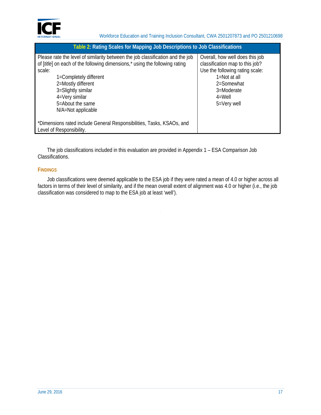

| Table 2: Rating Scales for Mapping Job Descriptions to Job Classifications                                                                                                                                                                                                                                       |                                                                                                                                                                                |
|------------------------------------------------------------------------------------------------------------------------------------------------------------------------------------------------------------------------------------------------------------------------------------------------------------------|--------------------------------------------------------------------------------------------------------------------------------------------------------------------------------|
| Please rate the level of similarity between the job classification and the job<br>of <i>[title]</i> on each of the following dimensions,* using the following rating<br>scale:<br>1=Completely different<br>2=Mostly different<br>3=Slightly similar<br>4=Very similar<br>5=About the same<br>N/A=Not applicable | Overall, how well does this job<br>classification map to this job?<br>Use the following rating scale:<br>1=Not at all<br>2=Somewhat<br>3=Moderate<br>$4 = Well$<br>5=Very well |
| *Dimensions rated include General Responsibilities, Tasks, KSAOs, and<br>Level of Responsibility.                                                                                                                                                                                                                |                                                                                                                                                                                |

The job classifications included in this evaluation are provided in Appendix 1 – ESA Comparison Job Classifications.

#### **FINDINGS**

Job classifications were deemed applicable to the ESA job if they were rated a mean of 4.0 or higher across all factors in terms of their level of similarity, and if the mean overall extent of alignment was 4.0 or higher (i.e., the job classification was considered to map to the ESA job at least 'well').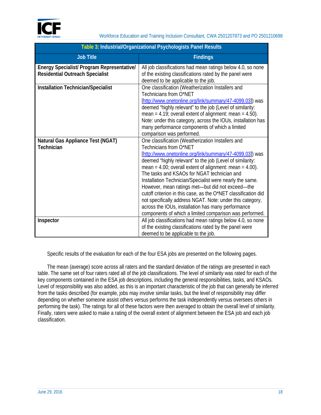

| Table 3: Industrial/Organizational Psychologists Panel Results                       |                                                                                                                                                                                                                                                                                                                                                                                                                                                                                                                                                                                                                                                                                      |  |  |  |  |  |  |  |  |
|--------------------------------------------------------------------------------------|--------------------------------------------------------------------------------------------------------------------------------------------------------------------------------------------------------------------------------------------------------------------------------------------------------------------------------------------------------------------------------------------------------------------------------------------------------------------------------------------------------------------------------------------------------------------------------------------------------------------------------------------------------------------------------------|--|--|--|--|--|--|--|--|
| <b>Job Title</b>                                                                     | <b>Findings</b>                                                                                                                                                                                                                                                                                                                                                                                                                                                                                                                                                                                                                                                                      |  |  |  |  |  |  |  |  |
| Energy Specialist/ Program Representative/<br><b>Residential Outreach Specialist</b> | All job classifications had mean ratings below 4.0, so none<br>of the existing classifications rated by the panel were<br>deemed to be applicable to the job.                                                                                                                                                                                                                                                                                                                                                                                                                                                                                                                        |  |  |  |  |  |  |  |  |
| Installation Technician/Specialist                                                   | One classification (Weatherization Installers and<br>Technicians from O*NET<br>[http://www.onetonline.org/link/summary/47-4099.03]) was<br>deemed "highly relevant" to the job (Level of similarity:<br>mean = $4.19$ ; overall extent of alignment: mean = $4.50$ ).<br>Note: under this category, across the IOUs, installation has<br>many performance components of which a limited<br>comparison was performed.                                                                                                                                                                                                                                                                 |  |  |  |  |  |  |  |  |
| Natural Gas Appliance Test (NGAT)<br><b>Technician</b>                               | One classification (Weatherization Installers and<br>Technicians from O*NET<br>[http://www.onetonline.org/link/summary/47-4099.03]) was<br>deemed "highly relevant" to the job (Level of similarity:<br>mean = $4.00$ ; overall extent of alignment: mean = $4.00$ ).<br>The tasks and KSAOs for NGAT technician and<br>Installation Technician/Specialist were nearly the same.<br>However, mean ratings met-but did not exceed-the<br>cutoff criterion in this case, as the O*NET classification did<br>not specifically address NGAT. Note: under this category,<br>across the IOUs, installation has many performance<br>components of which a limited comparison was performed. |  |  |  |  |  |  |  |  |
| Inspector                                                                            | All job classifications had mean ratings below 4.0, so none<br>of the existing classifications rated by the panel were<br>deemed to be applicable to the job.                                                                                                                                                                                                                                                                                                                                                                                                                                                                                                                        |  |  |  |  |  |  |  |  |

Specific results of the evaluation for each of the four ESA jobs are presented on the following pages.

The mean (average) score across all raters and the standard deviation of the ratings are presented in each table. The same set of four raters rated all of the job classifications. The level of similarity was rated for each of the key components contained in the ESA job descriptions, including the general responsibilities, tasks, and KSAOs. Level of responsibility was also added, as this is an important characteristic of the job that can generally be inferred from the tasks described (for example, jobs may involve similar tasks, but the level of responsibility may differ depending on whether someone assist others versus performs the task independently versus oversees others in performing the task). The ratings for all of these factors were then averaged to obtain the overall level of similarity. Finally, raters were asked to make a rating of the overall extent of alignment between the ESA job and each job classification.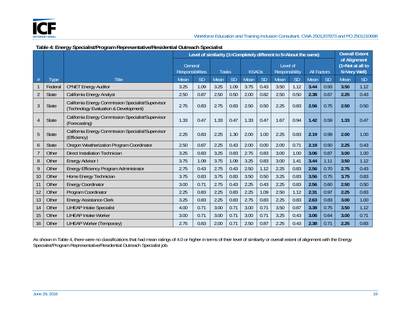

#### **Table 4: Energy Specialist/Program Representative/Residential Outreach Specialist**

|                |             |                                                                                             | Level of similarity (1=Completely different to 5=About the same) |           |              |           |              |           |                                   |           | <b>Overall Extent</b> |           |                                                  |           |
|----------------|-------------|---------------------------------------------------------------------------------------------|------------------------------------------------------------------|-----------|--------------|-----------|--------------|-----------|-----------------------------------|-----------|-----------------------|-----------|--------------------------------------------------|-----------|
|                |             |                                                                                             | General<br><b>Responsibilities</b>                               |           | <b>Tasks</b> |           | <b>KSAOs</b> |           | Level of<br><b>Responsibility</b> |           | <b>All Factors</b>    |           | of Alignment<br>(1=Not at all to<br>5=Very Well) |           |
| #              | <b>Type</b> | <b>Title</b>                                                                                | Mean                                                             | <b>SD</b> | Mean         | <b>SD</b> | Mean         | <b>SD</b> | Mean                              | <b>SD</b> | Mean                  | <b>SD</b> | Mean                                             | <b>SD</b> |
|                | Federal     | O*NET Energy Auditor                                                                        | 3.25                                                             | 1.09      | 3.25         | 1.09      | 3.75         | 0.43      | 3.50                              | 1.12      | 3.44                  | 0.93      | 3.50                                             | 1.12      |
| $\overline{2}$ | State       | California Energy Analyst                                                                   | 2.50                                                             | 0.87      | 2.50         | 0.50      | 2.00         | 0.82      | 2.50                              | 0.50      | 2.38                  | 0.67      | 2.25                                             | 0.43      |
| $\overline{3}$ | State       | California Energy Commission Specialist/Supervisor<br>(Technology Evaluation & Development) | 2.75                                                             | 0.83      | 2.75         | 0.83      | 2.50         | 0.50      | 2.25                              | 0.83      | 2.56                  | 0.75      | 2.50                                             | 0.50      |
| $\overline{A}$ | State       | California Energy Commission Specialist/Supervisor<br>(Forecasting)                         |                                                                  | 0.47      | 1.33         | 0.47      | 1.33         | 0.47      | 1.67                              | 0.94      | 1.42                  | 0.59      | 1.33                                             | 0.47      |
| 5              | State       | California Energy Commission Specialist/Supervisor<br>(Efficiency)                          | 2.25                                                             | 0.83      | 2.25         | 1.30      | 2.00         | 1.00      | 2.25                              | 0.83      | 2.19                  | 0.99      | 2.00                                             | 1.00      |
| 6              | State       | Oregon Weatherization Program Coordinator                                                   | 2.50                                                             | 0.87      | 2.25         | 0.43      | 2.00         | 0.00      | 2.00                              | 0.71      | 2.19                  | 0.50      | 2.25                                             | 0.43      |
|                | Other       | <b>Direct Installation Technician</b>                                                       | 3.25                                                             | 0.83      | 3.25         | 0.83      | 2.75         | 0.83      | 3.00                              | 1.00      | 3.06                  | 0.87      | 3.00                                             | 1.00      |
| 8              | Other       | Energy Advisor I                                                                            | 3.75                                                             | 1.09      | 3.75         | 1.09      | 3.25         | 0.83      | 3.00                              | 1.41      | 3.44                  | 1.11      | 3.50                                             | 1.12      |
| 9              | Other       | Energy Efficiency Program Administrator                                                     | 2.75                                                             | 0.43      | 2.75         | 0.43      | 2.50         | 1.12      | 2.25                              | 0.83      | 2.56                  | 0.70      | 2.75                                             | 0.43      |
| 10             | Other       | Home Energy Technician                                                                      | 3.75                                                             | 0.83      | 3.75         | 0.83      | 3.50         | 0.50      | 3.25                              | 0.83      | 3.56                  | 0.75      | 3.75                                             | 0.83      |
| 11             | Other       | <b>Energy Coordinator</b>                                                                   | 3.00                                                             | 0.71      | 2.75         | 0.43      | 2.25         | 0.43      | 2.25                              | 0.83      | 2.56                  | 0.60      | 2.50                                             | 0.50      |
| 12             | Other       | Program Coordinator                                                                         | 2.25                                                             | 0.83      | 2.25         | 0.83      | 2.25         | 1.09      | 2.50                              | 1.12      | 2.31                  | 0.97      | 2.25                                             | 0.83      |
| 13             | Other       | <b>Energy Assistance Clerk</b>                                                              | 3.25                                                             | 0.83      | 2.25         | 0.83      | 2.75         | 0.83      | 2.25                              | 0.83      | 2.63                  | 0.83      | 3.00                                             | 1.00      |
| 14             | Other       | <b>LIHEAP Intake Specialist</b>                                                             | 4.00                                                             | 0.71      | 3.00         | 0.71      | 3.00         | 0.71      | 3.50                              | 0.87      | 3.38                  | 0.75      | 3.50                                             | 1.12      |
| 15             | Other       | <b>LIHEAP Intake Worker</b>                                                                 | 3.00                                                             | 0.71      | 3.00         | 0.71      | 3.00         | 0.71      | 3.25                              | 0.43      | 3.06                  | 0.64      | 3.00                                             | 0.71      |
| 16             | Other       | LIHEAP Worker (Temporary)                                                                   | 2.75                                                             | 0.83      | 2.00         | 0.71      | 2.50         | 0.87      | 2.25                              | 0.43      | 2.38                  | 0.71      | 2.25                                             | 0.83      |

As shown in Table 4, there were no classifications that had mean ratings of 4.0 or higher in terms of their level of similarity or overall extent of alignment with the Energy Specialist/Program Representative/Residential Outreach Specialist job.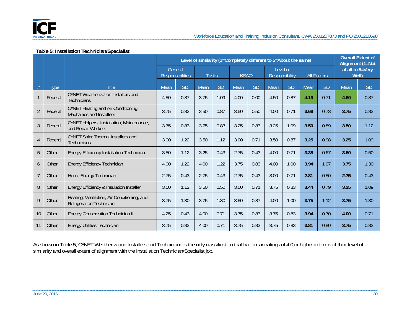

#### **Table 5: Installation Technician/Specialist**

|                |         |                                                                         | Level of similarity (1=Completely different to 5=About the same) |           |              |           |              |           |                            |           |                    | <b>Overall Extent of</b><br>Alignment (1=Not |                           |           |
|----------------|---------|-------------------------------------------------------------------------|------------------------------------------------------------------|-----------|--------------|-----------|--------------|-----------|----------------------------|-----------|--------------------|----------------------------------------------|---------------------------|-----------|
|                |         |                                                                         | General<br><b>Responsibilities</b>                               |           | <b>Tasks</b> |           | <b>KSAOs</b> |           | Level of<br>Responsibility |           | <b>All Factors</b> |                                              | at all to 5=Very<br>Well) |           |
| #              | Type    | <b>Title</b>                                                            | Mean                                                             | <b>SD</b> | Mean         | <b>SD</b> | Mean         | <b>SD</b> | Mean                       | <b>SD</b> | Mean               | <b>SD</b>                                    | Mean                      | <b>SD</b> |
| $\mathbf{1}$   | Federal | O*NET Weatherization Installers and<br>Technicians                      | 4.50                                                             | 0.87      | 3.75         | 1.09      | 4.00         | 0.00      | 4.50                       | 0.87      | 4.19               | 0.71                                         | 4.50                      | 0.87      |
| $\overline{2}$ | Federal | O*NET Heating and Air Conditioning<br>Mechanics and Installers          | 3.75                                                             | 0.83      | 3.50         | 0.87      | 3.50         | 0.50      | 4.00                       | 0.71      | 3.69               | 0.73                                         | 3.75                      | 0.83      |
| $\mathfrak{Z}$ | Federal | O*NET Helpers--Installation, Maintenance,<br>and Repair Workers         | 3.75                                                             | 0.83      | 3.75         | 0.83      | 3.25         | 0.83      | 3.25                       | 1.09      | 3.50               | 0.89                                         | 3.50                      | 1.12      |
| $\overline{4}$ | Federal | O*NET Solar Thermal Installers and<br>Technicians                       | 3.00                                                             | 1.22      | 3.50         | 1.12      | 3.00         | 0.71      | 3.50                       | 0.87      | 3.25               | 0.98                                         | 3.25                      | 1.09      |
| 5              | Other   | <b>Energy Efficiency Installation Technician</b>                        | 3.50                                                             | 1.12      | 3.25         | 0.43      | 2.75         | 0.43      | 4.00                       | 0.71      | 3.38               | 0.67                                         | 3.50                      | 0.50      |
| 6              | Other   | <b>Energy Efficiency Technician</b>                                     | 4.00                                                             | 1.22      | 4.00         | 1.22      | 3.75         | 0.83      | 4.00                       | 1.00      | 3.94               | 1.07                                         | 3.75                      | 1.30      |
| $\overline{7}$ | Other   | Home Energy Technician                                                  | 2.75                                                             | 0.43      | 2.75         | 0.43      | 2.75         | 0.43      | 3.00                       | 0.71      | 2.81               | 0.50                                         | 2.75                      | 0.43      |
| 8              | Other   | Energy Efficiency & Insulation Installer                                | 3.50                                                             | 1.12      | 3.50         | 0.50      | 3.00         | 0.71      | 3.75                       | 0.83      | 3.44               | 0.79                                         | 3.25                      | 1.09      |
| $\mathsf{q}$   | Other   | Heating, Ventilation, Air Conditioning, and<br>Refrigeration Technician | 3.75                                                             | 1.30      | 3.75         | 1.30      | 3.50         | 0.87      | 4.00                       | 1.00      | 3.75               | 1.12                                         | 3.75                      | 1.30      |
| 10             | Other   | <b>Energy Conservation Technician II</b>                                | 4.25                                                             | 0.43      | 4.00         | 0.71      | 3.75         | 0.83      | 3.75                       | 0.83      | 3.94               | 0.70                                         | 4.00                      | 0.71      |
| 11             | Other   | <b>Energy Utilities Technician</b>                                      | 3.75                                                             | 0.83      | 4.00         | 0.71      | 3.75         | 0.83      | 3.75                       | 0.83      | 3.81               | 0.80                                         | 3.75                      | 0.83      |

As shown in Table 5, O\*NET Weatherization Installers and Technicians is the only classification that had mean ratings of 4.0 or higher in terms of their level of similarity and overall extent of alignment with the Installation Technician/Specialist job.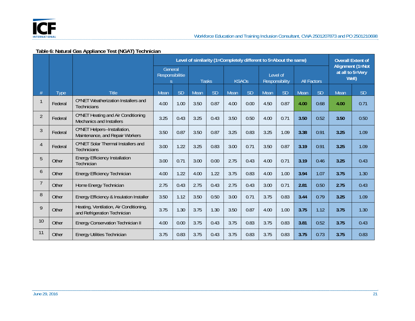

#### **Table 6: Natural Gas Appliance Test (NGAT) Technician**

|                |             |                                                                         | Level of similarity (1=Completely different to 5=About the same) |           |              |           |              |           |                            |           |                    |           | <b>Overall Extent of</b>                      |           |  |
|----------------|-------------|-------------------------------------------------------------------------|------------------------------------------------------------------|-----------|--------------|-----------|--------------|-----------|----------------------------|-----------|--------------------|-----------|-----------------------------------------------|-----------|--|
|                |             |                                                                         | General<br>Responsibilitie<br><sup>S</sup>                       |           | <b>Tasks</b> |           | <b>KSAOs</b> |           | Level of<br>Responsibility |           | <b>All Factors</b> |           | Alignment (1=Not<br>at all to 5=Very<br>Well) |           |  |
|                | <b>Type</b> | <b>Title</b>                                                            | Mean                                                             | <b>SD</b> | Mean         | <b>SD</b> | Mean         | <b>SD</b> | Mean                       | <b>SD</b> | Mean               | <b>SD</b> | Mean                                          | <b>SD</b> |  |
|                | Federal     | O*NET Weatherization Installers and<br><b>Technicians</b>               | 4.00                                                             | 1.00      | 3.50         | 0.87      | 4.00         | 0.00      | 4.50                       | 0.87      | 4.00               | 0.68      | 4.00                                          | 0.71      |  |
| $\overline{2}$ | Federal     | O*NET Heating and Air Conditioning<br>Mechanics and Installers          | 3.25                                                             | 0.43      | 3.25         | 0.43      | 3.50         | 0.50      | 4.00                       | 0.71      | 3.50               | 0.52      | 3.50                                          | 0.50      |  |
| 3              | Federal     | O*NET Helpers--Installation,<br>Maintenance, and Repair Workers         | 3.50                                                             | 0.87      | 3.50         | 0.87      | 3.25         | 0.83      | 3.25                       | 1.09      | 3.38               | 0.91      | 3.25                                          | 1.09      |  |
| 4              | Federal     | O*NET Solar Thermal Installers and<br><b>Technicians</b>                | 3.00                                                             | 1.22      | 3.25         | 0.83      | 3.00         | 0.71      | 3.50                       | 0.87      | 3.19               | 0.91      | 3.25                                          | 1.09      |  |
| 5              | Other       | <b>Energy Efficiency Installation</b><br>Technician                     | 3.00                                                             | 0.71      | 3.00         | 0.00      | 2.75         | 0.43      | 4.00                       | 0.71      | 3.19               | 0.46      | 3.25                                          | 0.43      |  |
| 6              | Other       | <b>Energy Efficiency Technician</b>                                     | 4.00                                                             | 1.22      | 4.00         | 1.22      | 3.75         | 0.83      | 4.00                       | 1.00      | 3.94               | 1.07      | 3.75                                          | 1.30      |  |
| $\overline{7}$ | Other       | Home Energy Technician                                                  | 2.75                                                             | 0.43      | 2.75         | 0.43      | 2.75         | 0.43      | 3.00                       | 0.71      | 2.81               | 0.50      | 2.75                                          | 0.43      |  |
| 8              | Other       | Energy Efficiency & Insulation Installer                                | 3.50                                                             | 1.12      | 3.50         | 0.50      | 3.00         | 0.71      | 3.75                       | 0.83      | 3.44               | 0.79      | 3.25                                          | 1.09      |  |
| 9              | Other       | Heating, Ventilation, Air Conditioning,<br>and Refrigeration Technician | 3.75                                                             | 1.30      | 3.75         | 1.30      | 3.50         | 0.87      | 4.00                       | 1.00      | 3.75               | 1.12      | 3.75                                          | 1.30      |  |
| 10             | Other       | <b>Energy Conservation Technician II</b>                                | 4.00                                                             | 0.00      | 3.75         | 0.43      | 3.75         | 0.83      | 3.75                       | 0.83      | 3.81               | 0.52      | 3.75                                          | 0.43      |  |
| 11             | Other       | <b>Energy Utilities Technician</b>                                      | 3.75                                                             | 0.83      | 3.75         | 0.43      | 3.75         | 0.83      | 3.75                       | 0.83      | 3.75               | 0.73      | 3.75                                          | 0.83      |  |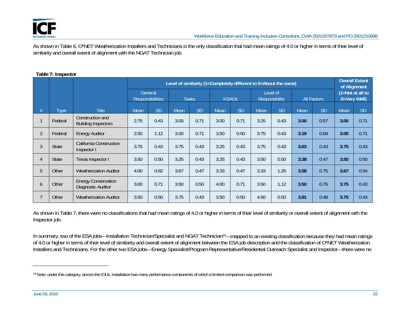

As shown in Table 6, O\*NET Weatherization Installers and Technicians is the only classification that had mean ratings of 4.0 or higher in terms of their level of similarity and overall extent of alignment with the NGAT Technician job.

|                |         |                                                  | Level of similarity (1=Completely different to 5=About the same) |                                    |      |              |      |              |      |                            |      |                    | <b>Overall Extent</b><br>of Alignment |           |  |
|----------------|---------|--------------------------------------------------|------------------------------------------------------------------|------------------------------------|------|--------------|------|--------------|------|----------------------------|------|--------------------|---------------------------------------|-----------|--|
|                |         |                                                  |                                                                  | General<br><b>Responsibilities</b> |      | <b>Tasks</b> |      | <b>KSAOs</b> |      | Level of<br>Responsibility |      | <b>All Factors</b> | (1=Not at all to<br>5=Very Well)      |           |  |
|                | Type    | <b>Title</b>                                     | Mean                                                             | <b>SD</b>                          | Mean | <b>SD</b>    | Mean | <b>SD</b>    | Mean | <b>SD</b>                  | Mean | <b>SD</b>          | Mean                                  | <b>SD</b> |  |
|                | Federal | Construction and<br><b>Building Inspectors</b>   | 2.75                                                             | 0.43                               | 3.00 | 0.71         | 3.00 | 0.71         | 3.25 | 0.43                       | 3.00 | 0.57               | 3.00                                  | 0.71      |  |
| $\overline{2}$ | Federal | <b>Energy Auditor</b>                            | 2.50                                                             | 1.12                               | 3.00 | 0.71         | 3.50 | 0.50         | 3.75 | 0.43                       | 3.19 | 0.69               | 3.00                                  | 0.71      |  |
| 3              | State   | California Construction<br>Inspector I           | 3.75                                                             | 0.43                               | 3.75 | 0.43         | 3.25 | 0.43         | 3.75 | 0.43                       | 3.63 | 0.43               | 3.75                                  | 0.43      |  |
| $\overline{4}$ | State   | Texas Inspector I                                | 3.50                                                             | 0.50                               | 3.25 | 0.43         | 3.25 | 0.43         | 3.50 | 0.50                       | 3.38 | 0.47               | 3.50                                  | 0.50      |  |
| 5              | Other   | <b>Weatherization Auditor</b>                    | 4.00                                                             | 0.82                               | 3.67 | 0.47         | 3.33 | 0.47         | 3.33 | 1.25                       | 3.58 | 0.75               | 3.67                                  | 0.94      |  |
| 6              | Other   | <b>Energy Conservation</b><br>Diagnostic Auditor | 3.00                                                             | 0.71                               | 3.50 | 0.50         | 4.00 | 0.71         | 3.50 | 1.12                       | 3.50 | 0.76               | 3.75                                  | 0.43      |  |
|                | Other   | <b>Weatherization Auditor</b>                    | 3.50                                                             | 0.50                               | 3.75 | 0.43         | 3.50 | 0.50         | 4.50 | 0.50                       | 3.81 | 0.48               | 3.75                                  | 0.43      |  |

#### **Table 7: Inspector**

As shown in Table 7, there were no classifications that had mean ratings of 4.0 or higher in terms of their level of similarity or overall extent of alignment with the Inspector job.

In summary, two of the ESA jobs—Installation Technician/Specialist and NGAT Technician<sup>14</sup>—mapped to an existing classification because they had mean ratings of 4.0 or higher in terms of their level of similarity and overall extent of alignment between the ESA job description and the classification of O\*NET Weatherization Installers and Technicians. For the other two ESA jobs—Energy Specialist/Program Representative/Residential Outreach Specialist and Inspector—there were no

<sup>14</sup> Note: under this category, across the IOUs, installation has many performance components of which a limited comparison was performed.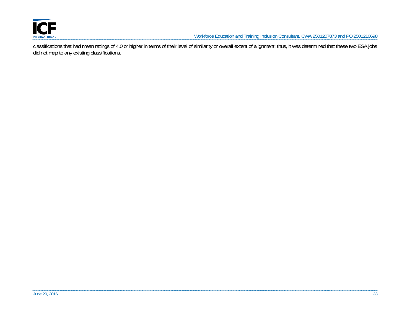

classifications that had mean ratings of 4.0 or higher in terms of their level of similarity or overall extent of alignment; thus, it was determined that these two ESA jobs did not map to any existing classifications.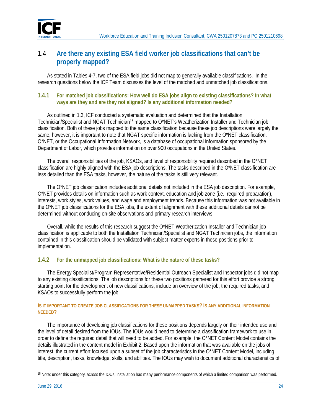

### 1.4 **Are there any existing ESA field worker job classifications that can't be properly mapped?**

As stated in Tables 4-7, two of the ESA field jobs did not map to generally available classifications. In the research questions below the ICF Team discusses the level of the matched and unmatched job classifications.

#### **1.4.1 For matched job classifications: How well do ESA jobs align to existing classifications? In what ways are they and are they not aligned? Is any additional information needed?**

As outlined in 1.3, ICF conducted a systematic evaluation and determined that the Installation Technician/Specialist and NGAT Technician15 mapped to O\*NET's Weatherization Installer and Technician job classification. Both of these jobs mapped to the same classification because these job descriptions were largely the same; however, it is important to note that NGAT specific information is lacking from the O\*NET classification. O\*NET, or the Occupational Information Network, is a database of occupational information sponsored by the Department of Labor, which provides information on over 900 occupations in the United States.

The overall responsibilities of the job, KSAOs, and level of responsibility required described in the O\*NET classification are highly aligned with the ESA job descriptions. The tasks described in the O\*NET classification are less detailed than the ESA tasks, however, the nature of the tasks is still very relevant.

The O\*NET job classification includes additional details not included in the ESA job description. For example, O\*NET provides details on information such as work context, education and job zone (i.e., required preparation), interests, work styles, work values, and wage and employment trends. Because this information was not available in the O\*NET job classifications for the ESA jobs, the extent of alignment with these additional details cannot be determined without conducing on-site observations and primary research interviews.

Overall, while the results of this research suggest the O\*NET Weatherization Installer and Technician job classification is applicable to both the Installation Technician/Specialist and NGAT Technician jobs, the information contained in this classification should be validated with subject matter experts in these positions prior to implementation.

#### **1.4.2 For the unmapped job classifications: What is the nature of these tasks?**

The Energy Specialist/Program Representative/Residential Outreach Specialist and Inspector jobs did not map to any existing classifications. The job descriptions for these two positions gathered for this effort provide a strong starting point for the development of new classifications, include an overview of the job, the required tasks, and KSAOs to successfully perform the job.

#### **IS IT IMPORTANT TO CREATE JOB CLASSIFICATIONS FOR THESE UNMAPPED TASKS? IS ANY ADDITIONAL INFORMATION NEEDED?**

The importance of developing job classifications for these positions depends largely on their intended use and the level of detail desired from the IOUs. The IOUs would need to determine a classification framework to use in order to define the required detail that will need to be added. For example, the O\*NET Content Model contains the details illustrated in the content model in Exhibit 2. Based upon the information that was available on the jobs of interest, the current effort focused upon a subset of the job characteristics in the O\*NET Content Model, including title, description, tasks, knowledge, skills, and abilities. The IOUs may wish to document additional characteristics of

 $\overline{a}$ 

<sup>15</sup> Note: under this category, across the IOUs, installation has many performance components of which a limited comparison was performed.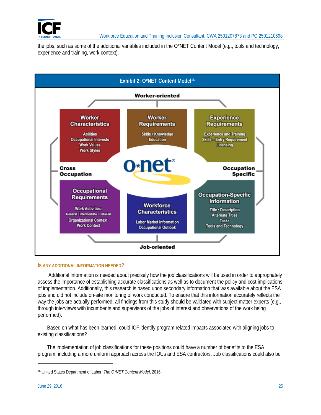

the jobs, such as some of the additional variables included in the O\*NET Content Model (e.g., tools and technology, experience and training, work context).



#### **IS ANY ADDITIONAL INFORMATION NEEDED?**

 Additional information is needed about precisely how the job classifications will be used in order to appropriately assess the importance of establishing accurate classifications as well as to document the policy and cost implications of implementation. Additionally, this research is based upon secondary information that was available about the ESA jobs and did not include on-site monitoring of work conducted. To ensure that this information accurately reflects the way the jobs are actually performed, all findings from this study should be validated with subject matter experts (e.g., through interviews with incumbents and supervisors of the jobs of interest and observations of the work being performed).

Based on what has been learned, could ICF identify program related impacts associated with aligning jobs to existing classifications?

The implementation of job classifications for these positions could have a number of benefits to the ESA program, including a more uniform approach across the IOUs and ESA contractors. Job classifications could also be

 $\overline{\phantom{0}}$ 

<sup>16</sup> United States Department of Labor, *The O\*NET Content Model*, 2016.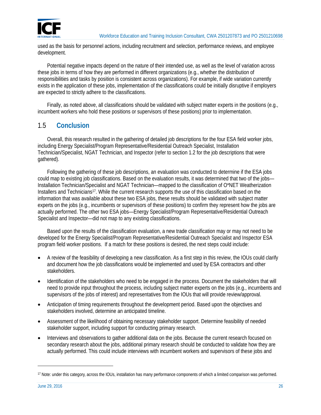

used as the basis for personnel actions, including recruitment and selection, performance reviews, and employee development.

Potential negative impacts depend on the nature of their intended use, as well as the level of variation across these jobs in terms of how they are performed in different organizations (e.g., whether the distribution of responsibilities and tasks by position is consistent across organizations). For example, if wide variation currently exists in the application of these jobs, implementation of the classifications could be initially disruptive if employers are expected to strictly adhere to the classifications.

Finally, as noted above, all classifications should be validated with subject matter experts in the positions (e.g., incumbent workers who hold these positions or supervisors of these positions) prior to implementation.

### 1.5 **Conclusion**

Overall, this research resulted in the gathering of detailed job descriptions for the four ESA field worker jobs, including Energy Specialist/Program Representative/Residential Outreach Specialist, Installation Technician/Specialist, NGAT Technician, and Inspector (refer to section 1.2 for the job descriptions that were gathered).

Following the gathering of these job descriptions, an evaluation was conducted to determine if the ESA jobs could map to existing job classifications. Based on the evaluation results, it was determined that two of the jobs— Installation Technician/Specialist and NGAT Technician—mapped to the classification of O\*NET Weatherization Installers and Technicians17. While the current research supports the use of this classification based on the information that was available about these two ESA jobs, these results should be validated with subject matter experts on the jobs (e.g., incumbents or supervisors of these positions) to confirm they represent how the jobs are actually performed. The other two ESA jobs—Energy Specialist/Program Representative/Residential Outreach Specialist and Inspector—did not map to any existing classifications.

Based upon the results of the classification evaluation, a new trade classification may or may not need to be developed for the Energy Specialist/Program Representative/Residential Outreach Specialist and Inspector ESA program field worker positions. If a match for these positions is desired, the next steps could include:

- A review of the feasibility of developing a new classification. As a first step in this review, the IOUs could clarify and document how the job classifications would be implemented and used by ESA contractors and other stakeholders.
- Identification of the stakeholders who need to be engaged in the process. Document the stakeholders that will need to provide input throughout the process, including subject matter experts on the jobs (e.g., incumbents and supervisors of the jobs of interest) and representatives from the IOUs that will provide review/approval.
- Anticipation of timing requirements throughout the development period. Based upon the objectives and stakeholders involved, determine an anticipated timeline.
- Assessment of the likelihood of obtaining necessary stakeholder support. Determine feasibility of needed stakeholder support, including support for conducting primary research.
- Interviews and observations to gather additional data on the jobs. Because the current research focused on secondary research about the jobs, additional primary research should be conducted to validate how they are actually performed. This could include interviews with incumbent workers and supervisors of these jobs and

 $\overline{a}$ 

<sup>17</sup> Note: under this category, across the IOUs, installation has many performance components of which a limited comparison was performed.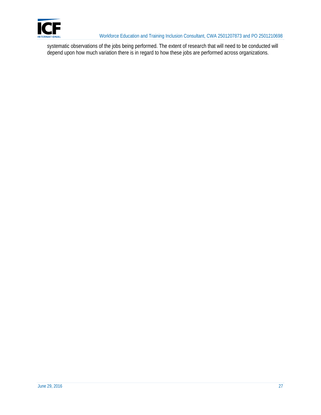

systematic observations of the jobs being performed. The extent of research that will need to be conducted will depend upon how much variation there is in regard to how these jobs are performed across organizations.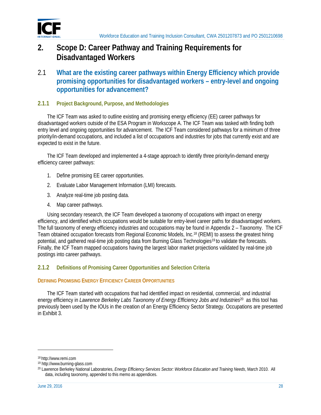

# **2. Scope D: Career Pathway and Training Requirements for Disadvantaged Workers**

2.1 **What are the existing career pathways within Energy Efficiency which provide promising opportunities for disadvantaged workers – entry-level and ongoing opportunities for advancement?** 

#### **2.1.1 Project Background, Purpose, and Methodologies**

The ICF Team was asked to outline existing and promising energy efficiency (EE) career pathways for disadvantaged workers outside of the ESA Program in Workscope A. The ICF Team was tasked with finding both entry level and ongoing opportunities for advancement. The ICF Team considered pathways for a minimum of three priority/in-demand occupations, and included a list of occupations and industries for jobs that currently exist and are expected to exist in the future.

The ICF Team developed and implemented a 4-stage approach to identify three priority/in-demand energy efficiency career pathways:

- 1. Define promising EE career opportunities.
- 2. Evaluate Labor Management Information (LMI) forecasts.
- 3. Analyze real-time job posting data.
- 4. Map career pathways.

Using secondary research, the ICF Team developed a taxonomy of occupations with impact on energy efficiency, and identified which occupations would be suitable for entry-level career paths for disadvantaged workers. The full taxonomy of energy efficiency industries and occupations may be found in Appendix 2 – Taxonomy. The ICF Team obtained occupation forecasts from Regional Economic Models, Inc.18 (REMI) to assess the greatest hiring potential, and gathered real-time job posting data from Burning Glass Technologies19 to validate the forecasts. Finally, the ICF Team mapped occupations having the largest labor market projections validated by real-time job postings into career pathways.

#### **2.1.2 Definitions of Promising Career Opportunities and Selection Criteria**

#### **DEFINING PROMISING ENERGY EFFICIENCY CAREER OPPORTUNITIES**

The ICF Team started with occupations that had identified impact on residential, commercial, and industrial energy efficiency in *Lawrence Berkeley Labs Taxonomy of Energy Efficiency Jobs and Industries*20 as this tool has previously been used by the IOUs in the creation of an Energy Efficiency Sector Strategy. Occupations are presented in Exhibit 3.

<sup>18</sup> http://www.remi.com

<sup>19</sup> http://www.burning-glass.com

<sup>20</sup> Lawrence Berkeley National Laboratories, *Energy Efficiency Services Sector: Workforce Education and Training Needs*, March 2010. All data, including taxonomy, appended to this memo as appendices.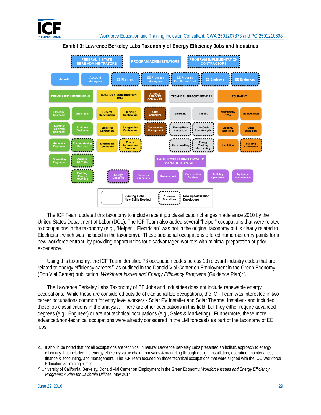

**Exhibit 3: Lawrence Berkeley Labs Taxonomy of Energy Efficiency Jobs and Industries**



The ICF Team updated this taxonomy to include recent job classification changes made since 2010 by the United States Department of Labor (DOL). The ICF Team also added several "helper" occupations that were related to occupations in the taxonomy (e.g., "Helper – Electrician" was not in the original taxonomy but is clearly related to Electrician, which was included in the taxonomy). These additional occupations offered numerous entry points for a new workforce entrant, by providing opportunities for disadvantaged workers with minimal preparation or prior experience.

Using this taxonomy, the ICF Team identified 78 occupation codes across 13 relevant industry codes that are related to energy efficiency careers<sup>21</sup> as outlined in the Donald Vial Center on Employment in the Green Economy (Don Vial Center) publication, *Workforce Issues and Energy Efficiency Programs* (Guidance Plan)22.

The Lawrence Berkeley Labs Taxonomy of EE Jobs and Industries does not include renewable energy occupations. While these are considered outside of traditional EE occupations, the ICF Team was interested in two career occupations common for entry level workers - Solar PV Installer and Solar Thermal Installer - and included these job classifications in the analysis. There are other occupations in this field, but they either require advanced degrees (e.g., Engineer) or are not technical occupations (e.g., Sales & Marketing). Furthermore, these more advanced/non-technical occupations were already considered in the LMI forecasts as part of the taxonomy of EE jobs.

<sup>21</sup> It should be noted that not all occupations are technical in nature; Lawrence Berkeley Labs presented an holistic approach to energy efficiency that included the energy efficiency value chain from sales & marketing through design, installation, operation, maintenance, finance & accounting, and management. The ICF Team focused on those technical occupations that were aligned with the IOU Workforce

Education & Training remits. 22 University of California, Berkeley, Donald Vial Center on Employment in the Green Economy, *Workforce Issues and Energy Efficiency Programs: A Plan for California Utilities,* May 2014.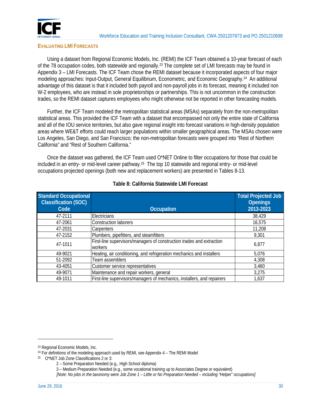

#### **EVALUATING LMI FORECASTS**

Using a dataset from Regional Economic Models, Inc. (REMI) the ICF Team obtained a 10-year forecast of each of the 78 occupation codes, both statewide and regionally.23 The complete set of LMI forecasts may be found in Appendix 3 – LMI Forecasts. The ICF Team chose the REMI dataset because it incorporated aspects of four major modeling approaches: Input-Output, General Equilibrium, Econometric, and Economic Geography.24 An additional advantage of this dataset is that it included both payroll and non-payroll jobs in its forecast, meaning it included non W-2 employees, who are instead in sole proprietorships or partnerships. This is not uncommon in the construction trades, so the REMI dataset captures employees who might otherwise not be reported in other forecasting models.

Further, the ICF Team modeled the metropolitan statistical areas (MSAs) separately from the non-metropolitan statistical areas. This provided the ICF Team with a dataset that encompassed not only the entire state of California and all of the IOU service territories, but also gave regional insight into forecast variations in high-density population areas where WE&T efforts could reach larger populations within smaller geographical areas. The MSAs chosen were Los Angeles, San Diego, and San Francisco; the non-metropolitan forecasts were grouped into "Rest of Northern California" and "Rest of Southern California."

Once the dataset was gathered, the ICF Team used O\*NET Online to filter occupations for those that could be included in an entry- or mid-level career pathway.25 The top 10 statewide and regional entry- or mid-level occupations projected openings (both new and replacement workers) are presented in Tables 8-13.

| Standard Occupational<br><b>Classification (SOC)</b> |                                                                                  | <b>Total Projected Job</b><br><b>Openings</b> |
|------------------------------------------------------|----------------------------------------------------------------------------------|-----------------------------------------------|
| Code                                                 | <b>Occupation</b>                                                                | 2013-2023                                     |
| 47-2111                                              | Electricians                                                                     | 38,429                                        |
| 47-2061                                              | <b>Construction laborers</b>                                                     | 16,575                                        |
| 47-2031                                              | Carpenters                                                                       | 11,208                                        |
| 47-2152                                              | Plumbers, pipefitters, and steamfitters                                          | 9,301                                         |
| 47-1011                                              | First-line supervisors/managers of construction trades and extraction<br>workers | 6,877                                         |
| 49-9021                                              | Heating, air conditioning, and refrigeration mechanics and installers            | 5.076                                         |
| 51-2092                                              | Team assemblers                                                                  | 4.308                                         |
| 43-4051                                              | Customer service representatives                                                 | 3,460                                         |
| 49-9071                                              | Maintenance and repair workers, general                                          | 3,275                                         |
| 49-1011                                              | First-line supervisors/managers of mechanics, installers, and repairers          | 1.637                                         |

#### **Table 8: California Statewide LMI Forecast**

<sup>23</sup> Regional Economic Models, Inc.

 $24$  For definitions of the modeling approach used by REMI, see Appendix 4 – The REMI Model

<sup>25</sup> O\*NET Job Zone Classifications 2 or 3:

 <sup>2 –</sup> Some Preparation Needed (e.g., High School diploma)

 <sup>3 –</sup> Medium Preparation Needed (e.g., some vocational training up to Associates Degree or equivalent)

 *<sup>[</sup>Note: No jobs in the taxonomy were Job Zone 1 – Little or No Preparation Needed – including "Helper" occupations]*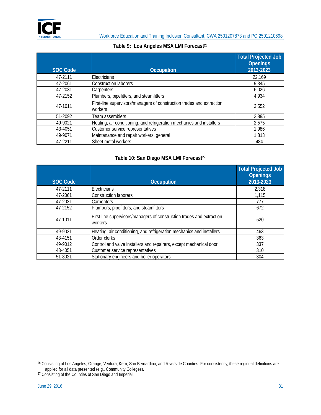

|                 |                                                                                  | <b>Total Projected Job</b><br><b>Openings</b> |
|-----------------|----------------------------------------------------------------------------------|-----------------------------------------------|
| <b>SOC Code</b> | <b>Occupation</b>                                                                | 2013-2023                                     |
| 47-2111         | Electricians                                                                     | 22,169                                        |
| 47-2061         | <b>Construction laborers</b>                                                     | 9,345                                         |
| 47-2031         | Carpenters                                                                       | 6,026                                         |
| 47-2152         | Plumbers, pipefitters, and steamfitters                                          | 4,934                                         |
| 47-1011         | First-line supervisors/managers of construction trades and extraction<br>workers | 3,552                                         |
| 51-2092         | Team assemblers                                                                  | 2,895                                         |
| 49-9021         | Heating, air conditioning, and refrigeration mechanics and installers            | 2,575                                         |
| 43-4051         | Customer service representatives                                                 | 1,986                                         |
| 49-9071         | Maintenance and repair workers, general                                          | 1,813                                         |
| 47-2211         | Sheet metal workers                                                              | 484                                           |

#### Table 10: San Diego MSA LMI Forecast<sup>27</sup>

|                 |                                                                                  | <b>Total Projected Job</b>   |
|-----------------|----------------------------------------------------------------------------------|------------------------------|
| <b>SOC Code</b> | <b>Occupation</b>                                                                | <b>Openings</b><br>2013-2023 |
| 47-2111         | Electricians                                                                     | 2.318                        |
| 47-2061         | <b>Construction laborers</b>                                                     | 1,115                        |
| 47-2031         | Carpenters                                                                       | 777                          |
| 47-2152         | Plumbers, pipefitters, and steamfitters                                          | 672                          |
| 47-1011         | First-line supervisors/managers of construction trades and extraction<br>workers | 520                          |
| 49-9021         | Heating, air conditioning, and refrigeration mechanics and installers            | 463                          |
| 43-4151         | Order clerks                                                                     | 363                          |
| 49-9012         | Control and valve installers and repairers, except mechanical door               | 337                          |
| 43-4051         | Customer service representatives                                                 | 310                          |
| 51-8021         | Stationary engineers and boiler operators                                        | 304                          |

<u>.</u>

<sup>&</sup>lt;sup>26</sup> Consisting of Los Angeles, Orange, Ventura, Kern, San Bernardino, and Riverside Counties. For consistency, these regional definitions are applied for all data presented (e.g., Community Colleges).<br><sup>27</sup> Consisting of the Counties of San Diego and Imperial.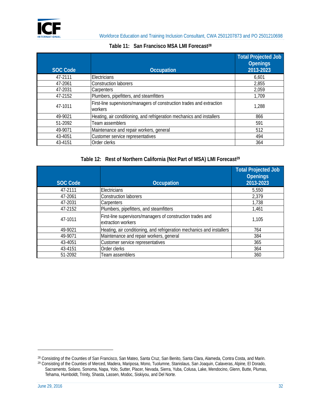

|                 |                                                                                  | <b>Total Projected Job</b><br><b>Openings</b> |
|-----------------|----------------------------------------------------------------------------------|-----------------------------------------------|
| <b>SOC Code</b> | <b>Occupation</b>                                                                | 2013-2023                                     |
| 47-2111         | Electricians                                                                     | 6.601                                         |
| 47-2061         | <b>Construction laborers</b>                                                     | 2,855                                         |
| 47-2031         | Carpenters                                                                       | 2,059                                         |
| 47-2152         | Plumbers, pipefitters, and steamfitters                                          | 1,709                                         |
| 47-1011         | First-line supervisors/managers of construction trades and extraction<br>workers | 1,288                                         |
| 49-9021         | Heating, air conditioning, and refrigeration mechanics and installers            | 866                                           |
| 51-2092         | Team assemblers                                                                  | 591                                           |
| 49-9071         | Maintenance and repair workers, general                                          | 512                                           |
| 43-4051         | Customer service representatives                                                 | 494                                           |
| 43-4151         | Order clerks                                                                     | 364                                           |

#### Table 11: San Francisco MSA LMI Forecast<sup>28</sup>

#### Table 12: Rest of Northern California (Not Part of MSA) LMI Forecast<sup>29</sup>

| <b>SOC Code</b> | <b>Occupation</b>                                                                | <b>Total Projected Job</b><br><b>Openings</b><br>2013-2023 |
|-----------------|----------------------------------------------------------------------------------|------------------------------------------------------------|
|                 |                                                                                  |                                                            |
| 47-2111         | Electricians                                                                     | 5,550                                                      |
| 47-2061         | <b>Construction laborers</b>                                                     | 2,379                                                      |
| 47-2031         | Carpenters                                                                       | 1,738                                                      |
| 47-2152         | Plumbers, pipefitters, and steamfitters                                          | 1.461                                                      |
| 47-1011         | First-line supervisors/managers of construction trades and<br>extraction workers | 1,105                                                      |
| 49-9021         | Heating, air conditioning, and refrigeration mechanics and installers            | 764                                                        |
| 49-9071         | Maintenance and repair workers, general                                          | 384                                                        |
| 43-4051         | Customer service representatives                                                 | 365                                                        |
| 43-4151         | Order clerks                                                                     | 364                                                        |
| 51-2092         | Team assemblers                                                                  | 360                                                        |

-

<sup>&</sup>lt;sup>28</sup> Consisting of the Counties of San Francisco, San Mateo, Santa Cruz, San Benito, Santa Clara, Alameda, Contra Costa, and Marin. 29 Consisting of the Counties of Merced, Madera, Mariposa, Mono, Tuolumne, Stanislaus, San Joaquin, Calaveras, Alpine, El Dorado,

Sacramento, Solano, Sonoma, Napa, Yolo, Sutter, Placer, Nevada, Sierra, Yuba, Colusa, Lake, Mendocino, Glenn, Butte, Plumas, Tehama, Humboldt, Trinity, Shasta, Lassen, Modoc, Siskiyou, and Del Norte.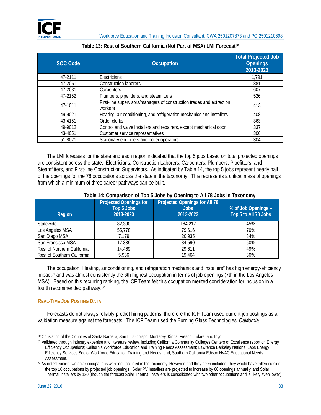

| <b>SOC Code</b> | <b>Occupation</b>                                                                | <b>Total Projected Job</b><br><b>Openings</b><br>2013-2023 |
|-----------------|----------------------------------------------------------------------------------|------------------------------------------------------------|
| 47-2111         | Electricians                                                                     | 1,791                                                      |
| 47-2061         | <b>Construction laborers</b>                                                     | 881                                                        |
| 47-2031         | Carpenters                                                                       | 607                                                        |
| 47-2152         | Plumbers, pipefitters, and steamfitters                                          | 526                                                        |
| 47-1011         | First-line supervisors/managers of construction trades and extraction<br>workers | 413                                                        |
| 49-9021         | Heating, air conditioning, and refrigeration mechanics and installers            | 408                                                        |
| 43-4151         | Order clerks                                                                     | 363                                                        |
| 49-9012         | Control and valve installers and repairers, except mechanical door               | 337                                                        |
| 43-4051         | Customer service representatives                                                 | 306                                                        |
| 51-8021         | Stationary engineers and boiler operators                                        | 304                                                        |

| Table 13: Rest of Southern California (Not Part of MSA) LMI Forecast <sup>30</sup> |  |  |
|------------------------------------------------------------------------------------|--|--|
|                                                                                    |  |  |

The LMI forecasts for the state and each region indicated that the top 5 jobs based on total projected openings are consistent across the state: Electricians, Construction Laborers, Carpenters, Plumbers, Pipefitters, and Steamfitters, and First-line Construction Supervisors. As indicated by Table 14, the top 5 jobs represent nearly half of the openings for the 78 occupations across the state in the taxonomy. This represents a critical mass of openings from which a minimum of three career pathways can be built.

#### **Table 14: Comparison of Top 5 Jobs by Opening to All 78 Jobs in Taxonomy**

| <b>Region</b>               | <b>Projected Openings for</b><br>Top 5 Jobs<br>2013-2023 | <b>Projected Openings for All 78</b><br><b>Jobs</b><br>2013-2023 | % of Job Openings -<br>Top 5 to All 78 Jobs |
|-----------------------------|----------------------------------------------------------|------------------------------------------------------------------|---------------------------------------------|
| Statewide                   | 82,390                                                   | 184,217                                                          | 45%                                         |
| Los Angeles MSA             | 55,778                                                   | 79,616                                                           | 70%                                         |
| San Diego MSA               | 7.179                                                    | 20,935                                                           | 34%                                         |
| San Francisco MSA           | 17,339                                                   | 34,590                                                           | 50%                                         |
| Rest of Northern California | 14,469                                                   | 29,611                                                           | 49%                                         |
| Rest of Southern California | 5,936                                                    | 19.464                                                           | 30%                                         |

The occupation "Heating, air conditioning, and refrigeration mechanics and installers" has high energy-efficiency impact<sup>31</sup> and was almost consistently the 6th highest occupation in terms of job openings (7th in the Los Angeles MSA). Based on this recurring ranking, the ICF Team felt this occupation merited consideration for inclusion in a fourth recommended pathway.32

#### **REAL-TIME JOB POSTING DATA**

Forecasts do not always reliably predict hiring patterns, therefore the ICF Team used current job postings as a validation measure against the forecasts. The ICF Team used the Burning Glass Technologies' *California* 

 $\overline{\phantom{0}}$ 

<sup>30</sup> Consisting of the Counties of Santa Barbara, San Luis Obispo, Monterey, Kings, Fresno, Tulare, and Inyo.

<sup>31</sup> Validated through industry expertise and literature review, including California Community Colleges Centers of Excellence report on Energy Efficiency Occupations; California Workforce Education and Training Needs Assessment; Lawrence Berkeley National Labs Energy Efficiency Services Sector Workforce Education Training and Needs; and, Southern California Edison HVAC Educational Needs

Assessment.<br><sup>32</sup> As noted earlier, two solar occupations were not included in the taxonomy. However, had they been included, they would have fallen outside the top 10 occupations by projected job openings. Solar PV Installers are projected to increase by 60 openings annually, and Solar Thermal Installers by 130 (though the forecast Solar Thermal Installers is consolidated with two other occupations and is likely even lower).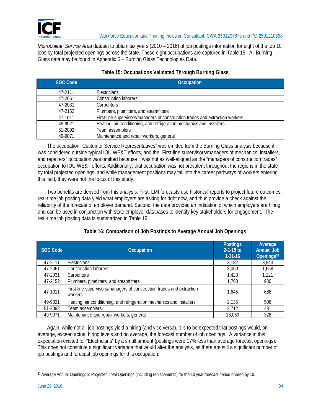

*Metropolitan Service Area* dataset to obtain six years (2010 – 2016) of job postings information for eight of the top 10 jobs by total projected openings across the state. These eight occupations are captured in Table 15. All Burning Glass data may be found in Appendix 5 – Burning Glass Technologies Data.

| <b>SOC Code</b> | <b>Occupation</b>                                                             |
|-----------------|-------------------------------------------------------------------------------|
| 47-2111         | <b>Electricians</b>                                                           |
| 47-2061         | Construction laborers                                                         |
| 47-2031         | Carpenters                                                                    |
| 47-2152         | Plumbers, pipefitters, and steamfitters                                       |
| 47-1011         | First-line supervisors/managers of construction trades and extraction workers |
| 49-9021         | Heating, air conditioning, and refrigeration mechanics and installers         |
| 51-2092         | Team assemblers                                                               |
| 49-9071         | Maintenance and repair workers, general                                       |

#### **Table 15: Occupations Validated Through Burning Glass**

The occupation "Customer Service Representatives" was omitted from the Burning Glass analysis because it was considered outside typical IOU WE&T efforts, and the "First-line supervisors/managers of mechanics, installers, and repairers" occupation was omitted because it was not as well-aligned as the "managers of construction trades" occupation to IOU WE&T efforts. Additionally, that occupation was not prevalent throughout the regions in the state by total projected openings, and while management positions may fall into the career pathways of workers entering this field, they were not the focus of this study.

Two benefits are derived from this analysis. First, LMI forecasts use historical reports to project future outcomes; real-time job posting data yield what employers are asking for right now, and thus provide a check against the reliability of the forecast of employer demand. Second, the data provided an indication of which employers are hiring and can be used in conjunction with state employer databases to identify key stakeholders for engagement. The real-time job posting data is summarized in Table 16.

| <b>SOC Code</b> | <b>Occupation</b>                                                                | <b>Postings</b><br>$2 - 1 - 15$ to<br>$1 - 31 - 16$ | Average<br><b>Annual Job</b><br>Openings <sup>33</sup> |
|-----------------|----------------------------------------------------------------------------------|-----------------------------------------------------|--------------------------------------------------------|
| 47-2111         | Electricians                                                                     | 3,182                                               | 3,843                                                  |
| 47-2061         | Construction laborers                                                            | 3,050                                               | 1,658                                                  |
| 47-2031         | Carpenters                                                                       | 1,423                                               | 1,121                                                  |
| 47-2152         | Plumbers, pipefitters, and steamfitters                                          | 1,760                                               | 930                                                    |
| 47-1011         | First-line supervisors/managers of construction trades and extraction<br>workers | 1.645                                               | 688                                                    |
| 49-9021         | Heating, air conditioning, and refrigeration mechanics and installers            | 2,135                                               | 508                                                    |
| 51-2092         | Team assemblers                                                                  | 2,712                                               | 431                                                    |
| 49-9071         | Maintenance and repair workers, general                                          | 18,069                                              | 328                                                    |

#### **Table 16: Comparison of Job Postings to Average Annual Job Openings**

Again, while not all job postings yield a hiring (and vice versa), it is to be expected that postings would, on average, exceed actual hiring levels and on average, the forecast number of job openings. A variance in this expectation existed for "Electricians" by a small amount (postings were 17% less than average forecast openings). This does not constitute a significant variance that would alter the analysis, as there are still a significant number of job postings and forecast job openings for this occupation.

 $\overline{a}$ 

<sup>33</sup> Average Annual Openings is Projected Total Openings (including replacements) for the 10 year forecast period divided by 10.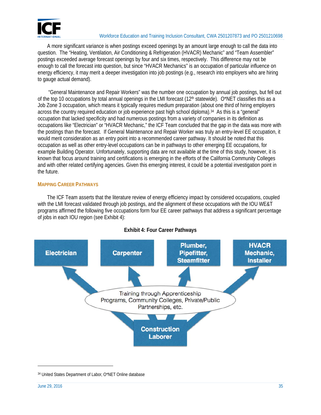

A more significant variance is when postings exceed openings by an amount large enough to call the data into question. The "Heating, Ventilation, Air Conditioning & Refrigeration (HVACR) Mechanic" and "Team Assembler" postings exceeded average forecast openings by four and six times, respectively. This difference may not be enough to call the forecast into question, but since "HVACR Mechanics" is an occupation of particular influence on energy efficiency, it may merit a deeper investigation into job postings (e.g., research into employers who are hiring to gauge actual demand).

 "General Maintenance and Repair Workers" was the number one occupation by annual job postings, but fell out of the top 10 occupations by total annual openings in the LMI forecast ( $12<sup>th</sup>$  statewide). O\*NET classifies this as a Job Zone 3 occupation, which means it typically requires medium preparation (about one third of hiring employers across the country required education or job experience past high school diploma).34 As this is a "general" occupation that lacked specificity and had numerous postings from a variety of companies in its definition as occupations like "Electrician" or "HVACR Mechanic," the ICF Team concluded that the gap in the data was more with the postings than the forecast. If General Maintenance and Repair Worker was truly an entry-level EE occupation, it would merit consideration as an entry point into a recommended career pathway. It should be noted that this occupation as well as other entry-level occupations can be in pathways to other emerging EE occupations, for example Building Operator. Unfortunately, supporting data are not available at the time of this study, however, it is known that focus around training and certifications is emerging in the efforts of the California Community Colleges and with other related certifying agencies. Given this emerging interest, it could be a potential investigation point in the future.

#### **MAPPING CAREER PATHWAYS**

The ICF Team asserts that the literature review of energy efficiency impact by considered occupations, coupled with the LMI forecast validated through job postings, and the alignment of these occupations with the IOU WE&T programs affirmed the following five occupations form four EE career pathways that address a significant percentage of jobs in each IOU region (see Exhibit 4):



#### **Exhibit 4: Four Career Pathways**

<u>.</u>

<sup>34</sup> United States Department of Labor, O\*NET Online database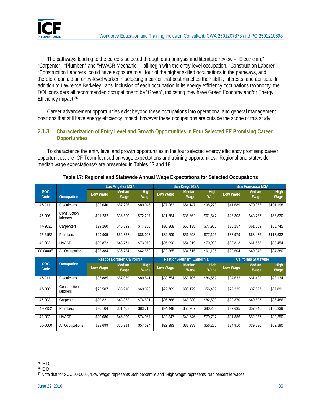

The pathways leading to the careers selected through data analysis and literature review – "Electrician," "Carpenter," "Plumber," and "HVACR Mechanic" – all begin with the entry-level occupation, "Construction Laborer." "Construction Laborers" could have exposure to all four of the higher skilled occupations in the pathways, and therefore can aid an entry-level worker in selecting a career that best matches their skills, interests, and abilities. In addition to Lawrence Berkeley Labs' inclusion of each occupation in its energy efficiency occupations taxonomy, the DOL considers all recommended occupations to be "Green", indicating they have Green Economy and/or Energy Efficiency impact.35

Career advancement opportunities exist beyond these occupations into operational and general management positions that still have energy efficiency impact, however these occupations are outside the scope of this study.

#### **2.1.3 Characterization of Entry Level and Growth Opportunities in Four Selected EE Promising Career Opportunities**

To characterize the entry level and growth opportunities in the four selected energy efficiency promising career opportunities, the ICF Team focused on wage expectations and training opportunities. Regional and statewide median wage expectations<sup>36</sup> are presented in Tables 17 and 18.

|                    |                          |          | <b>Los Angeles MSA</b>             |                     |          | San Diego MSA                      |                     |                             | <b>San Francisco MSA</b> |                     |
|--------------------|--------------------------|----------|------------------------------------|---------------------|----------|------------------------------------|---------------------|-----------------------------|--------------------------|---------------------|
| <b>SOC</b><br>Code | <b>Occupation</b>        | Low Wage | <b>Median</b><br>Wage              | High<br>Wage        | Low Wage | <b>Median</b><br>Wage              | <b>High</b><br>Wage | Low Wage                    | <b>Median</b><br>Wage    | <b>High</b><br>Wage |
| 47-2111            | Electricians             | \$32,640 | \$57,226                           | \$89,045            | \$37,263 | \$64,147                           | \$98,228            | \$41,689                    | \$70,355                 | \$101,198           |
| 47-2061            | Construction<br>laborers | \$21,232 | \$36,520                           | \$72,207            | \$21,684 | \$35,662                           | \$61,547            | \$26,303                    | \$43,757                 | \$66,830            |
| 47-2031            | Carpenters               | \$29,260 | \$46,899                           | \$77,808            | \$30,368 | \$50,138                           | \$77,906            | \$36,257                    | \$61,069                 | \$88,745            |
| 47-2152            | <b>Plumbers</b>          | \$29,905 | \$52,858                           | \$88,093            | \$32,209 | \$51,698                           | \$77,126            | \$38,979                    | \$63,476                 | \$113,532           |
| 49-9021            | <b>HVACR</b>             | \$30,872 | \$48,771                           | \$73,970            | \$35,090 | \$54,319                           | \$70,938            | \$38,813                    | \$61,558                 | \$93,454            |
| 00-000037          | All Occupations          | \$23,384 | \$36,784                           | \$62,558            | \$22,385 | \$34,615                           | \$61,135            | \$29,604                    | \$49,048                 | \$84,380            |
|                    |                          |          | <b>Rest of Northern California</b> |                     |          | <b>Rest of Southern California</b> |                     | <b>California Statewide</b> |                          |                     |
| <b>SOC</b><br>Code | <b>Occupation</b>        | Low Wage | <b>Median</b><br>Wage              | <b>High</b><br>Wage | Low Wage | <b>Median</b><br>Wage              | High<br>Wage        | Low Wage                    | Median<br>Wage           | <b>High</b><br>Wage |
| 47-2111            | Electricians             | \$36,885 | \$57,069                           | \$89,541            | \$38,754 | \$58,705                           | \$86,559            | \$34,632                    | \$61,402                 | \$98,134            |
| 47-2061            | Construction<br>laborers | \$23,587 | \$35,918                           | \$60.098            | \$22,769 | \$33,179                           | \$56,469            | \$22,235                    | \$37.627                 | \$67,891            |
| 47-2031            | Carpenters               | \$30,821 | \$48,868                           | \$74,821            | \$26,766 | \$48,280                           | \$82,593            | \$29,370                    | \$49,587                 | \$86,486            |
| 47-2152            | <b>Plumbers</b>          | \$30,104 | \$51,408                           | \$83,718            | \$34,448 | \$50,967                           | \$80,208            | \$32,635                    | \$57,346                 | \$100,339           |
| 49-9021            | <b>HVACR</b>             | \$29.680 | \$46,390                           | \$74,067            | \$32,347 | \$49,646                           | \$70,737            | \$31,886                    | \$52,957                 | \$80,350            |
| 00-0000            | All Occupations          | \$23,699 | \$35,914                           | \$57,624            | \$22,293 | \$33,933                           | \$56,280            | \$24,910                    | \$39,830                 | \$69,190            |

#### **Table 17: Regional and Statewide Annual Wage Expectations for Selected Occupations**

 $\overline{a}$ 

36 IBID

<sup>35</sup> IBID

<sup>37</sup> Note that for SOC 00-0000, "Low Wage" represents 25th percentile and "High Wage" represents 75th percentile wages.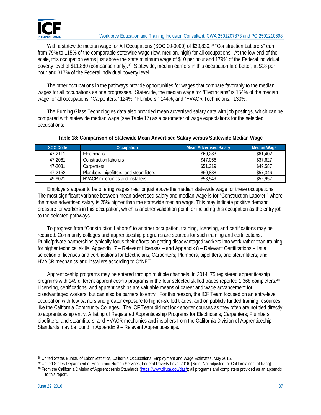

With a statewide median wage for All Occupations (SOC 00-0000) of \$39,830,<sup>38</sup> "Construction Laborers" earn from 79% to 115% of the comparable statewide wage (low, median, high) for all occupations. At the low end of the scale, this occupation earns just above the state minimum wage of \$10 per hour and 179% of the Federal individual poverty level of \$11,880 (comparison only).39 Statewide, median earners in this occupation fare better, at \$18 per hour and 317% of the Federal individual poverty level.

The other occupations in the pathways provide opportunities for wages that compare favorably to the median wages for all occupations as one progresses. Statewide, the median wage for "Electricians" is 154% of the median wage for all occupations; "Carpenters:" 124%; "Plumbers:" 144%; and "HVACR Technicians:" 133%.

The Burning Glass Technologies data also provided mean advertised salary data with job postings, which can be compared with statewide median wage (see Table 17) as a barometer of wage expectations for the selected occupations:

| SOC Code | <b>Occupation</b>                       | <b>Mean Advertised Salary</b> | <b>Median Wage</b> |
|----------|-----------------------------------------|-------------------------------|--------------------|
| 47-2111  | <b>Electricians</b>                     | \$60,283                      | \$61,402           |
| 47-2061  | <b>Construction laborers</b>            | \$47.066                      | \$37,627           |
| 47-2031  | Carpenters                              | \$51,319                      | \$49,587           |
| 47-2152  | Plumbers, pipefitters, and steamfitters | \$60,838                      | \$57,346           |
| 49-9021  | <b>HVACR</b> mechanics and installers   | \$58.549                      | \$52,957           |

#### **Table 18: Comparison of Statewide Mean Advertised Salary versus Statewide Median Wage**

Employers appear to be offering wages near or just above the median statewide wage for these occupations. The most significant variance between mean advertised salary and median wage is for "Construction Laborer," where the mean advertised salary is 25% higher than the statewide median wage. This may indicate positive demand pressure for workers in this occupation, which is another validation point for including this occupation as the entry job to the selected pathways.

To progress from "Construction Laborer" to another occupation, training, licensing, and certifications may be required. Community colleges and apprenticeship programs are sources for such training and certifications. Public/private partnerships typically focus their efforts on getting disadvantaged workers into work rather than training for higher technical skills. Appendix 7 – Relevant Licenses – and Appendix 8 – Relevant Certifications – list a selection of licenses and certifications for Electricians; Carpenters; Plumbers, pipefitters, and steamfitters; and HVACR mechanics and installers according to O\*NET.

Apprenticeship programs may be entered through multiple channels. In 2014, 75 registered apprenticeship programs with 149 different apprenticeship programs in the four selected skilled trades reported 1,368 completers.40 Licensing, certifications, and apprenticeships are valuable means of career and wage advancement for disadvantaged workers, but can also be barriers to entry. For this reason, the ICF Team focused on an entry-level occupation with few barriers and greater exposure to higher-skilled trades, and on publicly funded training resources like the California Community Colleges. The ICF Team did not look shorter courses as they often are not tied directly to apprenticeship entry. A listing of Registered Apprenticeship Programs for Electricians; Carpenters; Plumbers, pipefitters, and steamfitters; and HVACR mechanics and installers from the California Division of Apprenticeship Standards may be found in Appendix 9 – Relevant Apprenticeships.

-

<sup>38</sup> United States Bureau of Labor Statistics, California Occupational Employment and Wage Estimates, May 2015.

<sup>&</sup>lt;sup>39</sup> United States Department of Health and Human Services, Federal Poverty Level 2016. [Note: Not adjusted for California cost of living]<br><sup>40</sup> From the California Division of Apprenticeship Standards (https://www.dir.ca.g to this report.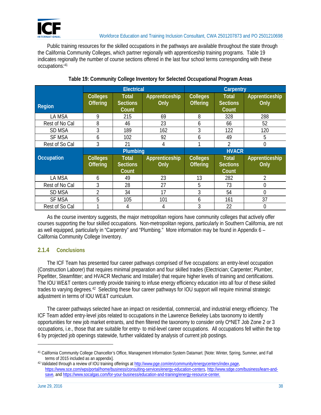

Public training resources for the skilled occupations in the pathways are available throughout the state through the California Community Colleges, which partner regionally with apprenticeship training programs. Table 19 indicates regionally the number of course sections offered in the last four school terms corresponding with these occupations:41

|                   |                                    | <b>Electrical</b>                        |                        | Carpentry                          |                                          |                        |  |
|-------------------|------------------------------------|------------------------------------------|------------------------|------------------------------------|------------------------------------------|------------------------|--|
| Region            | <b>Colleges</b><br><b>Offering</b> | <b>Total</b><br><b>Sections</b><br>Count | Apprenticeship<br>Only | <b>Colleges</b><br><b>Offering</b> | <b>Total</b><br><b>Sections</b><br>Count | Apprenticeship<br>Only |  |
| LA MSA            | 9                                  | 215                                      | 69                     | 8                                  | 328                                      | 288                    |  |
| Rest of No Cal    | 8                                  | 46                                       | 23                     | 6                                  | 66                                       | 52                     |  |
| <b>SD MSA</b>     | 3                                  | 189                                      | 162                    | 3                                  | 122                                      | 120                    |  |
| <b>SF MSA</b>     | 6                                  | 102                                      | 92                     | 6                                  | 49                                       | 5                      |  |
| Rest of So Cal    | 3                                  | 21                                       | 4                      |                                    | 2                                        | $\overline{0}$         |  |
|                   |                                    |                                          |                        |                                    |                                          |                        |  |
|                   |                                    | Plumbing                                 |                        |                                    | <b>HVACR</b>                             |                        |  |
| <b>Occupation</b> | <b>Colleges</b><br><b>Offering</b> | <b>Total</b><br><b>Sections</b><br>Count | Apprenticeship<br>Only | <b>Colleges</b><br><b>Offering</b> | <b>Total</b><br><b>Sections</b><br>Count | Apprenticeship<br>Only |  |
| LA MSA            | 6                                  | 49                                       | 23                     | 13                                 | 282                                      | $\overline{2}$         |  |
| Rest of No Cal    | 3                                  | 28                                       | 27                     | 5                                  | 73                                       | $\overline{0}$         |  |
| SD MSA            | 2                                  | 34                                       | 17                     | 3                                  | 54                                       | $\Omega$               |  |
| <b>SF MSA</b>     | 5                                  | 105                                      | 101                    | 6                                  | 161                                      | 37                     |  |

#### **Table 19: Community College Inventory for Selected Occupational Program Areas**

As the course inventory suggests, the major metropolitan regions have community colleges that actively offer courses supporting the four skilled occupations. Non-metropolitan regions, particularly in Southern California, are not as well equipped, particularly in "Carpentry" and "Plumbing." More information may be found in Appendix 6 – California Community College Inventory.

#### **2.1.4 Conclusions**

The ICF Team has presented four career pathways comprised of five occupations: an entry-level occupation (Construction Laborer) that requires minimal preparation and four skilled trades (Electrician; Carpenter; Plumber, Pipefitter, Steamfitter; and HVACR Mechanic and Installer) that require higher levels of training and certifications. The IOU WE&T centers currently provide training to infuse energy efficiency education into all four of these skilled trades to varying degrees.42 Selecting these four career pathways for IOU support will require minimal strategic adjustment in terms of IOU WE&T curriculum.

The career pathways selected have an impact on residential, commercial, and industrial energy efficiency. The ICF Team added entry-level jobs related to occupations in the Lawrence Berkeley Labs taxonomy to identify opportunities for new job market entrants, and then filtered the taxonomy to consider only O\*NET Job Zone 2 or 3 occupations, i.e., those that are suitable for entry- to mid-level career occupations. All occupations fell within the top 6 by projected job openings statewide, further validated by analysis of current job postings.

 $\overline{a}$ 

<sup>41</sup> California Community College Chancellor's Office, Management Information System Datamart. [Note: Winter, Spring, Summer, and Fall terms of 2015 included as an appendix].<br><sup>42</sup> Validated through a review of IOU training offerings at http://www.pge.com/en/community/energycenters/index.page,

https://www.sce.com/wps/portal/home/business/consulting-services/energy-education-centers, http://www.sdge.com/business/learn-andsave, and https://www.socalgas.com/for-your-business/education-and-training/energy-resource-center.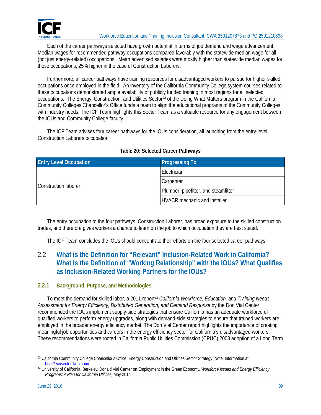

Each of the career pathways selected have growth potential in terms of job demand and wage advancement. Median wages for recommended pathway occupations compared favorably with the statewide median wage for all (not just energy-related) occupations. Mean advertised salaries were mostly higher than statewide median wages for these occupations, 25% higher in the case of Construction Laborers.

Furthermore, all career pathways have training resources for disadvantaged workers to pursue for higher skilled occupations once employed in the field. An inventory of the California Community College system courses related to these occupations demonstrated ample availability of publicly funded training in most regions for all selected occupations. The Energy, Construction, and Utilities Sector<sup>43</sup> of the Doing What Matters program in the California Community Colleges Chancellor's Office funds a team to align the educational programs of the Community Colleges with industry needs. The ICF Team highlights this Sector Team as a valuable resource for any engagement between the IOUs and Community College faculty.

The ICF Team advises four career pathways for the IOUs consideration, all launching from the entry-level Construction Laborers occupation:

| <b>Entry Level Occupation</b> | <b>Progressing To</b>                |  |
|-------------------------------|--------------------------------------|--|
| Construction laborer          | Electrician                          |  |
|                               | Carpenter                            |  |
|                               | Plumber, pipefitter, and steamfitter |  |
|                               | <b>HVACR</b> mechanic and installer  |  |

#### **Table 20: Selected Career Pathways**

The entry occupation to the four pathways, Construction Laborer, has broad exposure to the skilled construction trades, and therefore gives workers a chance to learn on the job to which occupation they are best suited.

The ICF Team concludes the IOUs should concentrate their efforts on the four selected career pathways.

### 2.2 **What is the Definition for "Relevant" Inclusion-Related Work in California? What is the Definition of "Working Relationship" with the IOUs? What Qualifies as Inclusion-Related Working Partners for the IOUs?**

#### **2.2.1 Background, Purpose, and Methodologies**

To meet the demand for skilled labor, a 2011 report<sup>44</sup> California Workforce, Education, and Training Needs *Assessment for Energy Efficiency, Distributed Generation, and Demand Response* by the Don Vial Center recommended the IOUs implement supply-side strategies that ensure California has an adequate workforce of qualified workers to perform energy upgrades, along with demand-side strategies to ensure that trained workers are employed in the broader energy efficiency market. The Don Vial Center report highlights the importance of creating meaningful job opportunities and careers in the energy efficiency sector for California's disadvantaged workers. These recommendations were rooted in California Public Utilities Commission (CPUC) 2008 adoption of a Long Term

-

<sup>43</sup> California Community College Chancellor's Office, Energy Construction and Utilities Sector Strategy [Note: Information at: http://ecusectordwm.com/]. 44 University of California, Berkeley, Donald Vial Center on Employment in the Green Economy, *Workforce Issues and Energy Efficiency* 

*Programs: A Plan for California Utilities,* May 2014.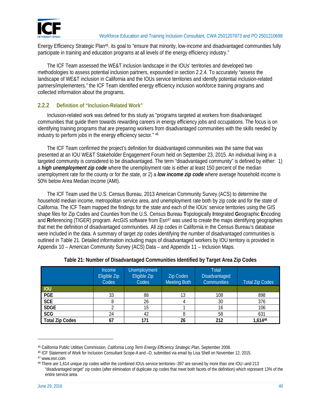

Energy Efficiency Strategic Plan45, its goal to "ensure that minority, low-income and disadvantaged communities fully participate in training and education programs at all levels of the energy efficiency industry."

The ICF Team assessed the WE&T inclusion landscape in the IOUs' territories and developed two methodologies to assess potential inclusion partners, expounded in section 2.2.4. To accurately "assess the landscape of WE&T inclusion in California and the IOUs service territories and identify potential inclusion-related partners/implementers*,"* the ICF Team identified energy efficiency inclusion workforce training programs and collected information about the programs.

#### **2.2.2 Definition of "Inclusion-Related Work"**

Inclusion-related work was defined for this study as "programs targeted at workers from disadvantaged communities that guide them towards rewarding careers in energy efficiency jobs and occupations. The focus is on identifying training programs that are preparing workers from disadvantaged communities with the skills needed by industry to perform jobs in the energy efficiency sector." 46

The ICF Team confirmed the project's definition for disadvantaged communities was the same that was presented at an IOU WE&T Stakeholder Engagement Forum held on September 23, 2015. An individual living in a targeted community is considered to be disadvantaged. The term "disadvantaged community" is defined by either: 1) a *high unemployment zip code* where the unemployment rate is either at least 150 percent of the median unemployment rate for the county or for the state, or 2) a *low income zip code* where average household income is 50% below Area Median Income (AMI).

The ICF Team used the U.S. Census Bureau, 2013 American Community Survey (ACS) to determine the household median income, metropolitan service area, and unemployment rate both by zip code and for the state of California. The ICF Team mapped the findings for the state and each of the IOUs' service territories using the GIS shape files for Zip Codes and Counties from the U.S. Census Bureau **T**opologically **I**ntegrated **G**eographic **E**ncoding and **Referencing (TIGER)** program. ArcGIS software from Esri<sup>47</sup> was used to create the maps identifying geographies that met the definition of disadvantaged communities. All zip codes in California in the Census Bureau's database were included in the data. A summary of target zip codes identifying the number of disadvantaged communities is outlined in Table 21. Detailed information including maps of disadvantaged workers by IOU territory is provided in Appendix 10 – American Community Survey (ACS) Data – and Appendix 11 – Inclusion Maps.

|                        | <b>Income</b><br>Eligible Zip<br>Codes | <b>Unemployment</b><br>Eligible Zip<br>Codes | <b>Zip Codes</b><br>Meeting Both | <b>Total</b><br><b>Disadvantaged</b><br><b>Communities</b> | <b>Total Zip Codes</b> |
|------------------------|----------------------------------------|----------------------------------------------|----------------------------------|------------------------------------------------------------|------------------------|
| <b>IOU</b>             |                                        |                                              |                                  |                                                            |                        |
| <b>PGE</b>             | 33                                     | 88                                           | 12                               | 108                                                        | 898                    |
| SCE                    |                                        | 26                                           |                                  | 30                                                         | 376                    |
| <b>SDGE</b>            |                                        |                                              |                                  | 16                                                         | 106                    |
| SCG                    | 24                                     | 42                                           |                                  | 58                                                         | 631                    |
| <b>Total Zip Codes</b> | 67                                     | 171                                          | 26                               | 212                                                        | 1,61448                |

<sup>&</sup>lt;sup>45</sup> California Public Utilities Commission, *California Long Term Energy Efficiency Strategic Plan*, September 2008.<br><sup>46</sup> ICF Statement of Work for Inclusion Consultant Scope-A and -D, submitted via email by Lisa Shell on

<sup>47</sup> www.esri.com

<sup>48</sup> There are 1,614 unique zip codes within the combined IOUs service territories--397 are served by more than one IOU--and 213 "disadvantaged target" zip codes (after elimination of duplicate zip codes that meet both facets of the definition) which represent 13% of the entire service area.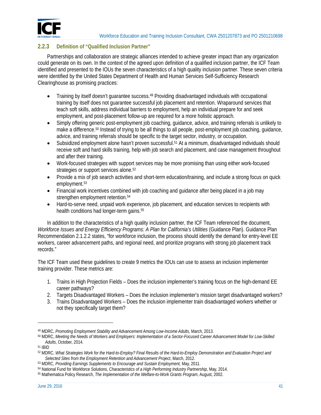

#### **2.2.3 Definition of "Qualified Inclusion Partner"**

Partnerships and collaboration are strategic alliances intended to achieve greater impact than any organization could generate on its own. In the context of the agreed upon definition of a qualified inclusion partner, the ICF Team identified and presented to the IOUs the seven characteristics of a high quality inclusion partner. These seven criteria were identified by the United States Department of Health and Human Services Self-Sufficiency Research Clearinghouse as promising practices:

- Training by itself doesn't guarantee success.<sup>49</sup> Providing disadvantaged individuals with occupational training by itself does not guarantee successful job placement and retention. Wraparound services that teach soft skills, address individual barriers to employment, help an individual prepare for and seek employment, and post-placement follow-up are required for a more holistic approach.
- Simply offering generic post-employment job coaching, guidance, advice, and training referrals is unlikely to make a difference.50 Instead of trying to be all things to all people, post-employment job coaching, guidance, advice, and training referrals should be specific to the target sector, industry, or occupation.
- Subsidized employment alone hasn't proven successful.<sup>51</sup> At a minimum, disadvantaged individuals should receive soft and hard skills training, help with job search and placement, and case management throughout and after their training.
- Work-focused strategies with support services may be more promising than using either work-focused strategies or support services alone.<sup>52</sup>
- Provide a mix of job search activities and short-term education/training, and include a strong focus on quick employment.<sup>53</sup>
- Financial work incentives combined with job coaching and guidance after being placed in a job may strengthen employment retention.<sup>54</sup>
- Hard-to-serve need, unpaid work experience, job placement, and education services to recipients with health conditions had longer-term gains.<sup>55</sup>

In addition to the characteristics of a high quality inclusion partner, the ICF Team referenced the document, Workforce Issues and Energy Efficiency Programs: A Plan for California's Utilities (Guidance Plan). Guidance Plan Recommendation 2.1.2.2 states, "for workforce inclusion, the process should identify the demand for entry-level EE workers, career advancement paths, and regional need, and prioritize programs with strong job placement track records."

The ICF Team used these guidelines to create 9 metrics the IOUs can use to assess an inclusion implementer training provider. These metrics are:

- 1. Trains in High Projection Fields Does the inclusion implementer's training focus on the high-demand EE career pathways?
- 2. Targets Disadvantaged Workers Does the inclusion implementer's mission target disadvantaged workers?
- 3. Trains Disadvantaged Workers Does the inclusion implementer train disadvantaged workers whether or not they specifically target them?

<u>.</u>

<sup>49</sup> MDRC, *Promoting Employment Stability and Advancement Among Low-Income Adults,* March, 2013.

<sup>50</sup> MDRC, *Meeting the Needs of Workers and Employers: Implementation of a Sector-Focused Career Advancement Model for Low-Skilled Adults*, October, 2014. 51 IBID

<sup>52</sup> MDRC, *What Strategies Work for the Hard-to-Employ? Final Results of the Hard-to-Employ Demonstration and Evaluation Project and* 

Selected Sites from the Employment Retention and Advancement Project, March, 2012.<br><sup>53</sup> MDRC, *Providing Earnings Supplements to Encourage and Sustain Employment*, May, 2011.<br><sup>54</sup> National Fund for Workforce Solutions, *Ch*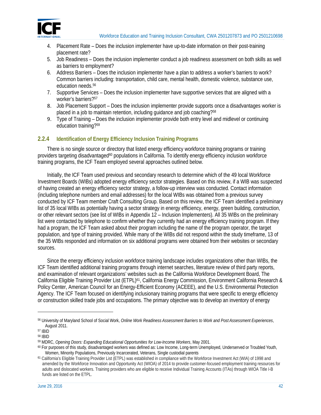

- 4. Placement Rate Does the inclusion implementer have up-to-date information on their post-training placement rate?
- 5. Job Readiness Does the inclusion implementer conduct a job readiness assessment on both skills as well as barriers to employment?
- 6. Address Barriers Does the inclusion implementer have a plan to address a worker's barriers to work? Common barriers including: transportation, child care, mental health, domestic violence, substance use, education needs.<sup>56</sup>
- 7. Supportive Services Does the inclusion implementer have supportive services that are aligned with a worker's barriers?<sup>57</sup>
- 8. Job Placement Support Does the inclusion implementer provide supports once a disadvantages worker is placed in a job to maintain retention, including guidance and job coaching?58
- 9. Type of Training Does the inclusion implementer provide both entry level and midlevel or continuing education training?59

#### **2.2.4 Identification of Energy Efficiency Inclusion Training Programs**

There is no single source or directory that listed energy efficiency workforce training programs or training providers targeting disadvantaged<sup>60</sup> populations in California. To identify energy efficiency inclusion workforce training programs, the ICF Team employed several approaches outlined below.

Initially, the ICF Team used previous and secondary research to determine which of the 49 local Workforce Investment Boards (WIBs) adopted energy efficiency sector strategies. Based on this review, if a WIB was suspected of having created an energy efficiency sector strategy, a follow-up interview was conducted. Contact information (including telephone numbers and email addresses) for the local WIBs was obtained from a previous survey conducted by ICF Team member Craft Consulting Group. Based on this review, the ICF Team identified a preliminary list of 35 local WIBs as potentially having a sector strategy in energy efficiency, energy, green building, construction, or other relevant sectors (see list of WIBs in Appendix 12 – Inclusion Implementers). All 35 WIBs on the preliminary list were contacted by telephone to confirm whether they currently had an energy efficiency training program. If they had a program, the ICF Team asked about their program including the name of the program operator, the target population, and type of training provided. While many of the WIBs did not respond within the study timeframe, 13 of the 35 WIBs responded and information on six additional programs were obtained from their websites or secondary sources.

Since the energy efficiency inclusion workforce training landscape includes organizations other than WIBs, the ICF Team identified additional training programs through internet searches, literature review of third party reports, and examination of relevant organizations' websites such as the California Workforce Development Board, The California Eligible Training Provider List (ETPL)<sup>61</sup>, California Energy Commission, Environment California Research & Policy Center, American Council for an Energy-Efficient Economy (ACEEE), and the U.S. Environmental Protection Agency. The ICF Team focused on identifying inclusionary training programs that were specific to energy efficiency or construction skilled trade jobs and occupations. The primary objective was to develop an inventory of energy

 $\overline{a}$ 

<sup>56</sup> University of Maryland School of Social Work, *Online Work Readiness Assessment Barriers to Work and Post Assessment Experiences*, August 2011.<br>57 IBID

<sup>&</sup>lt;sup>58</sup> IBID<br><sup>59</sup> MDRC, *Opening Doors: Expanding Educational Opportunities for Low-Income Workers*, May 2001.

<sup>60</sup> For purposes of this study, disadvantaged workers was defined as: Low Income, Long-term Unemployed, Underserved or Troubled Youth, Women, Minority Populations, Previously Incarcerated, Veterans, Single custodial parents<br><sup>61</sup> California's Eligible Training Provider List (ETPL) was established in compliance with the Workforce Investment Act (WIA) of 199

amended by the Workforce Innovation and Opportunity Act (WIOA) of 2014 to provide customer-focused employment training resources for adults and dislocated workers. Training providers who are eligible to receive Individual Training Accounts (ITAs) through WIOA Title I-B funds are listed on the ETPL.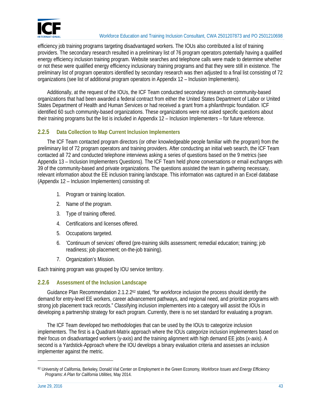

efficiency job training programs targeting disadvantaged workers. The IOUs also contributed a list of training providers. The secondary research resulted in a preliminary list of 76 program operators potentially having a qualified energy efficiency inclusion training program. Website searches and telephone calls were made to determine whether or not these were qualified energy efficiency inclusionary training programs and that they were still in existence. The preliminary list of program operators identified by secondary research was then adjusted to a final list consisting of 72 organizations (see list of additional program operators in Appendix 12 – Inclusion Implementers).

Additionally, at the request of the IOUs, the ICF Team conducted secondary research on community-based organizations that had been awarded a federal contract from either the United States Department of Labor or United States Department of Health and Human Services or had received a grant from a philanthropic foundation. ICF identified 60 such community-based organizations. These organizations were not asked specific questions about their training programs but the list is included in Appendix 12 – Inclusion Implementers – for future reference.

#### **2.2.5 Data Collection to Map Current Inclusion Implementers**

The ICF Team contacted program directors (or other knowledgeable people familiar with the program) from the preliminary list of 72 program operators and training providers. After conducting an initial web search, the ICF Team contacted all 72 and conducted telephone interviews asking a series of questions based on the 9 metrics (see Appendix 13 – Inclusion Implementers Questions). The ICF Team held phone conversations or email exchanges with 39 of the community-based and private organizations. The questions assisted the team in gathering necessary, relevant information about the EE inclusion training landscape. This information was captured in an Excel database (Appendix 12 – Inclusion Implementers) consisting of:

- 1. Program or training location.
- 2. Name of the program.
- 3. Type of training offered.
- 4. Certifications and licenses offered.
- 5. Occupations targeted.
- 6. 'Continuum of services' offered (pre-training skills assessment; remedial education; training; job readiness; job placement; on-the-job training).
- 7. Organization's Mission.

Each training program was grouped by IOU service territory.

#### **2.2.6 Assessment of the Inclusion Landscape**

Guidance Plan Recommendation 2.1.2.2<sup>62</sup> stated, "for workforce inclusion the process should identify the demand for entry-level EE workers, career advancement pathways, and regional need, and prioritize programs with strong job placement track records." Classifying inclusion implementers into a category will assist the IOUs in developing a partnership strategy for each program. Currently, there is no set standard for evaluating a program.

The ICF Team developed two methodologies that can be used by the IOUs to categorize inclusion implementers. The first is a Quadrant-Matrix approach where the IOUs categorize inclusion implementers based on their focus on disadvantaged workers (y-axis) and the training alignment with high demand EE jobs (x-axis). A second is a Yardstick-Approach where the IOU develops a binary evaluation criteria and assesses an inclusion implementer against the metric.

<sup>62</sup> University of California, Berkeley, Donald Vial Center on Employment in the Green Economy, *Workforce Issues and Energy Efficiency Programs: A Plan for California Utilities,* May 2014.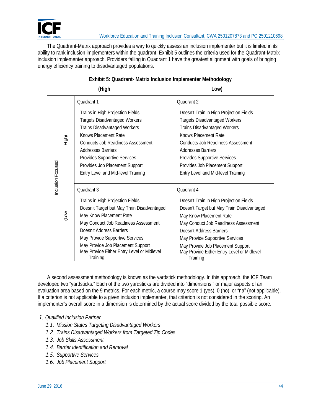

The Quadrant-Matrix approach provides a way to quickly assess an inclusion implementer but it is limited in its ability to rank inclusion implementers within the quadrant. Exhibit 5 outlines the criteria used for the Quadrant-Matrix inclusion implementer approach. Providers falling in Quadrant 1 have the greatest alignment with goals of bringing energy efficiency training to disadvantaged populations.

| (High<br>Low)             |                                                                                                                                                                                                                                                                                                                                 |                                                                                                                                                                                                                                                                                                                                        |
|---------------------------|---------------------------------------------------------------------------------------------------------------------------------------------------------------------------------------------------------------------------------------------------------------------------------------------------------------------------------|----------------------------------------------------------------------------------------------------------------------------------------------------------------------------------------------------------------------------------------------------------------------------------------------------------------------------------------|
|                           | Ouadrant 1                                                                                                                                                                                                                                                                                                                      | Ouadrant 2                                                                                                                                                                                                                                                                                                                             |
| High)                     | Trains in High Projection Fields<br><b>Targets Disadvantaged Workers</b><br><b>Trains Disadvantaged Workers</b><br><b>Knows Placement Rate</b><br><b>Conducts Job Readiness Assessment</b><br><b>Addresses Barriers</b><br>Provides Supportive Services<br>Provides Job Placement Support<br>Entry Level and Mid-level Training | Doesn't Train in High Projection Fields<br><b>Targets Disadvantaged Workers</b><br><b>Trains Disadvantaged Workers</b><br><b>Knows Placement Rate</b><br><b>Conducts Job Readiness Assessment</b><br><b>Addresses Barriers</b><br>Provides Supportive Services<br>Provides Job Placement Support<br>Entry Level and Mid-level Training |
| Inclusion Focused<br>(Low | Ouadrant 3<br>Trains in High Projection Fields<br>Doesn't Target but May Train Disadvantaged<br>May Know Placement Rate<br>May Conduct Job Readiness Assessment<br>Doesn't Address Barriers<br>May Provide Supportive Services<br>May Provide Job Placement Support<br>May Provide Either Entry Level or Midlevel<br>Training   | Ouadrant 4<br>Doesn't Train in High Projection Fields<br>Doesn't Target but May Train Disadvantaged<br>May Know Placement Rate<br>May Conduct Job Readiness Assessment<br>Doesn't Address Barriers<br>May Provide Supportive Services<br>May Provide Job Placement Support<br>May Provide Either Entry Level or Midlevel<br>Training   |

#### **Exhibit 5: Quadrant- Matrix Inclusion Implementer Methodology**

A second assessment methodology is known as the yardstick methodology. In this approach, the ICF Team developed two "yardsticks." Each of the two yardsticks are divided into "dimensions," or major aspects of an evaluation area based on the 9 metrics. For each metric, a course may score 1 (yes), 0 (no), or "na" (not applicable). If a criterion is not applicable to a given inclusion implementer, that criterion is not considered in the scoring. An implementer's overall score in a dimension is determined by the actual score divided by the total possible score.

#### *1. Qualified Inclusion Partner*

- *1.1. Mission States Targeting Disadvantaged Workers*
- *1.2. Trains Disadvantaged Workers from Targeted Zip Codes*
- *1.3. Job Skills Assessment*
- *1.4. Barrier Identification and Removal*
- *1.5. Supportive Services*
- *1.6. Job Placement Support*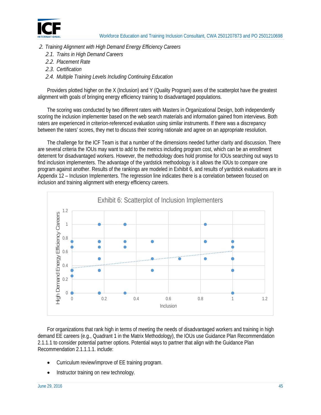

- *2. Training Alignment with High Demand Energy Efficiency Careers* 
	- *2.1. Trains in High Demand Careers*
	- *2.2. Placement Rate*
	- *2.3. Certification*
	- *2.4. Multiple Training Levels Including Continuing Education*

Providers plotted higher on the X (Inclusion) and Y (Quality Program) axes of the scatterplot have the greatest alignment with goals of bringing energy efficiency training to disadvantaged populations.

The scoring was conducted by two different raters with Masters in Organizational Design, both independently scoring the inclusion implementer based on the web search materials and information gained from interviews. Both raters are experienced in criterion-referenced evaluation using similar instruments. If there was a discrepancy between the raters' scores, they met to discuss their scoring rationale and agree on an appropriate resolution.

The challenge for the ICF Team is that a number of the dimensions needed further clarity and discussion. There are several criteria the IOUs may want to add to the metrics including program cost, which can be an enrollment deterrent for disadvantaged workers. However, the methodology does hold promise for IOUs searching out ways to find inclusion implementers. The advantage of the yardstick methodology is it allows the IOUs to compare one program against another. Results of the rankings are modeled in Exhibit 6, and results of yardstick evaluations are in Appendix 12 – Inclusion Implementers. The regression line indicates there is a correlation between focused on inclusion and training alignment with energy efficiency careers.



For organizations that rank high in terms of meeting the needs of disadvantaged workers and training in high demand EE careers (e.g., Quadrant 1 in the Matrix Methodology), the IOUs use Guidance Plan Recommendation 2.1.1.1 to consider potential partner options. Potential ways to partner that align with the Guidance Plan Recommendation 2.1.1.1.1. include:

- Curriculum review/improve of EE training program.
- Instructor training on new technology.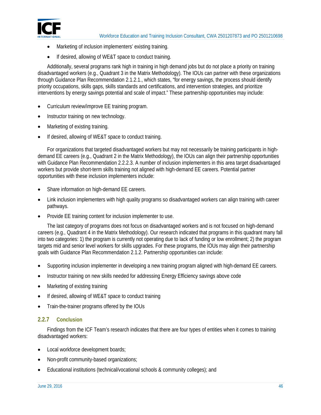

- Marketing of inclusion implementers' existing training.
- If desired, allowing of WE&T space to conduct training.

Additionally, several programs rank high in training in high demand jobs but do not place a priority on training disadvantaged workers (e.g., Quadrant 3 in the Matrix Methodology). The IOUs can partner with these organizations through Guidance Plan Recommendation 2.1.2.1., which states, "for energy savings, the process should identify priority occupations, skills gaps, skills standards and certifications, and intervention strategies, and prioritize interventions by energy savings potential and scale of impact." These partnership opportunities may include:

- Curriculum review/improve EE training program.
- Instructor training on new technology.
- Marketing of existing training.
- If desired, allowing of WE&T space to conduct training.

For organizations that targeted disadvantaged workers but may not necessarily be training participants in highdemand EE careers (e.g., Quadrant 2 in the Matrix Methodology), the IOUs can align their partnership opportunities with Guidance Plan Recommendation 2.2.2.3. A number of inclusion implementers in this area target disadvantaged workers but provide short-term skills training not aligned with high-demand EE careers. Potential partner opportunities with these inclusion implementers include:

- Share information on high-demand EE careers.
- Link inclusion implementers with high quality programs so disadvantaged workers can align training with career pathways.
- Provide EE training content for inclusion implementer to use.

The last category of programs does not focus on disadvantaged workers and is not focused on high-demand careers (e.g., Quadrant 4 in the Matrix Methodology). Our research indicated that programs in this quadrant many fall into two categories: 1) the program is currently not operating due to lack of funding or low enrollment; 2) the program targets mid and senior level workers for skills upgrades. For these programs, the IOUs may align their partnership goals with Guidance Plan Recommendation 2.1.2. Partnership opportunities can include:

- Supporting inclusion implementer in developing a new training program aligned with high-demand EE careers.
- Instructor training on new skills needed for addressing Energy Efficiency savings above code
- Marketing of existing training
- If desired, allowing of WE&T space to conduct training
- Train-the-trainer programs offered by the IOUs

#### **2.2.7 Conclusion**

Findings from the ICF Team's research indicates that there are four types of entities when it comes to training disadvantaged workers:

- Local workforce development boards;
- Non-profit community-based organizations;
- Educational institutions (technical/vocational schools & community colleges); and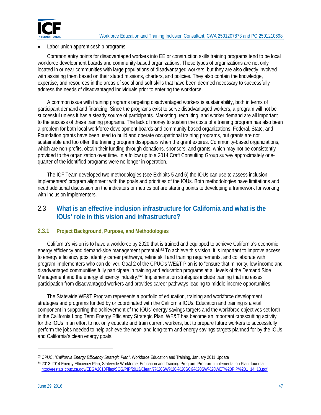

#### Labor union apprenticeship programs.

Common entry points for disadvantaged workers into EE or construction skills training programs tend to be local workforce development boards and community-based organizations. These types of organizations are not only located in or near communities with large populations of disadvantaged workers, but they are also directly involved with assisting them based on their stated missions, charters, and policies. They also contain the knowledge, expertise, and resources in the areas of social and soft skills that have been deemed necessary to successfully address the needs of disadvantaged individuals prior to entering the workforce.

A common issue with training programs targeting disadvantaged workers is sustainability, both in terms of participant demand and financing. Since the programs exist to serve disadvantaged workers, a program will not be successful unless it has a steady source of participants. Marketing, recruiting, and worker demand are all important to the success of these training programs. The lack of money to sustain the costs of a training program has also been a problem for both local workforce development boards and community-based organizations. Federal, State, and Foundation grants have been used to build and operate occupational training programs, but grants are not sustainable and too often the training program disappears when the grant expires. Community-based organizations, which are non-profits, obtain their funding through donations, sponsors, and grants, which may not be consistently provided to the organization over time. In a follow up to a 2014 Craft Consulting Group survey approximately onequarter of the identified programs were no longer in operation.

The ICF Team developed two methodologies (see Exhibits 5 and 6) the IOUs can use to assess inclusion implementers' program alignment with the goals and priorities of the IOUs. Both methodologies have limitations and need additional discussion on the indicators or metrics but are starting points to developing a framework for working with inclusion implementers.

#### 2.3 **What is an effective inclusion infrastructure for California and what is the IOUs' role in this vision and infrastructure?**

#### **2.3.1 Project Background, Purpose, and Methodologies**

California's vision is to have a workforce by 2020 that is trained and equipped to achieve California's economic energy efficiency and demand-side management potential.*63* To achieve this vision, it is important to improve access to energy efficiency jobs, identify career pathways, refine skill and training requirements, and collaborate with program implementers who can deliver. Goal 2 of the CPUC's WE&T Plan is to "ensure that minority, low income and disadvantaged communities fully participate in training and education programs at all levels of the Demand Side Management and the energy efficiency industry.<sup>64"</sup> Implementation strategies include training that increases participation from disadvantaged workers and provides career pathways leading to middle income opportunities.

The Statewide WE&T Program represents a portfolio of education, training and workforce development strategies and programs funded by or coordinated with the California IOUs. Education and training is a vital component in supporting the achievement of the IOUs' energy savings targets and the workforce objectives set forth in the California Long Term Energy Efficiency Strategic Plan. WE&T has become an important crosscutting activity for the IOUs in an effort to not only educate and train current workers, but to prepare future workers to successfully perform the jobs needed to help achieve the near- and long-term and energy savings targets planned for by the IOUs and California's clean energy goals.

.<br>-

<sup>63</sup> CPUC, *"California Energy Efficiency Strategic Plan"*, Workforce Education and Training, January 2011 Update

<sup>64 2013-2014</sup> Energy Efficiency Plan, Statewide Workforce, Education and Training Program, Program Implementation Plan, found at: http://eestats.cpuc.ca.gov/EEGA2010Files/SCG/PIP/2013/Clean/7%20SW%20-%20SCG%20SW%20WET%20PIP%201\_14\_13.pdf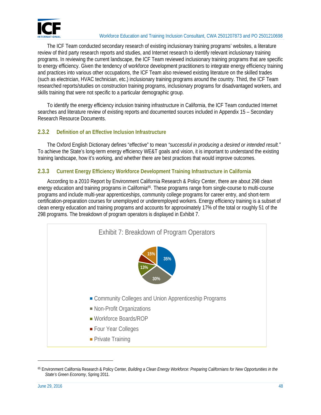

The ICF Team conducted secondary research of existing inclusionary training programs' websites, a literature review of third party research reports and studies, and Internet research to identify relevant inclusionary training programs. In reviewing the current landscape, the ICF Team reviewed inclusionary training programs that are specific to energy efficiency. Given the tendency of workforce development practitioners to integrate energy efficiency training and practices into various other occupations, the ICF Team also reviewed existing literature on the skilled trades (such as electrician, HVAC technician, etc.) inclusionary training programs around the country. Third, the ICF Team researched reports/studies on construction training programs, inclusionary programs for disadvantaged workers, and skills training that were not specific to a particular demographic group.

To identify the energy efficiency inclusion training infrastructure in California, the ICF Team conducted Internet searches and literature review of existing reports and documented sources included in Appendix 15 – Secondary Research Resource Documents.

#### **2.3.2 Definition of an Effective Inclusion Infrastructure**

The Oxford English Dictionary defines "effective" to mean *"successful in producing a desired or intended result."* To achieve the State's long-term energy efficiency WE&T goals and vision, it is important to understand the existing training landscape, how it's working, and whether there are best practices that would improve outcomes.

#### **2.3.3 Current Energy Efficiency Workforce Development Training Infrastructure in California**

According to a 2010 Report by Environment California Research & Policy Center, there are about 298 clean energy education and training programs in California<sup>65</sup>. These programs range from single-course to multi-course programs and include multi-year apprenticeships, community college programs for career entry, and short-term certification-preparation courses for unemployed or underemployed workers. Energy efficiency training is a subset of clean energy education and training programs and accounts for approximately 17% of the total or roughly 51 of the 298 programs. The breakdown of program operators is displayed in Exhibit 7.



<sup>65</sup> Environment California Research & Policy Center, *Building a Clean Energy Workforce: Preparing Californians for New Opportunities in the State's Green Economy*, Spring 2011.

-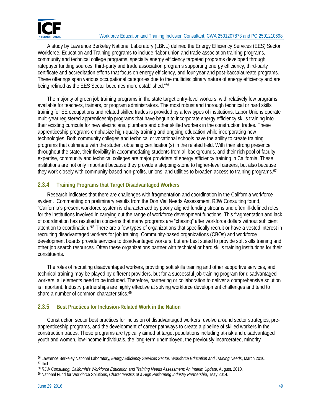

A study by Lawrence Berkeley National Laboratory (LBNL) defined the Energy Efficiency Services (EES) Sector Workforce, Education and Training programs to include "labor union and trade association training programs, community and technical college programs, specialty energy efficiency targeted programs developed through ratepayer funding sources, third-party and trade association programs supporting energy efficiency, third-party certificate and accreditation efforts that focus on energy efficiency, and four-year and post-baccalaureate programs. These offerings span various occupational categories due to the multidisciplinary nature of energy efficiency and are being refined as the EES Sector becomes more established."66

The majority of green job training programs in the state target entry-level workers, with relatively few programs available for teachers, trainers, or program administrators. The most robust and thorough technical or hard skills training for EE occupations and related skilled trades is provided by a few types of institutions. Labor Unions operate multi-year registered apprenticeship programs that have begun to incorporate energy efficiency skills training into their existing curricula for new electricians, plumbers and other skilled workers in the construction trades. These apprenticeship programs emphasize high-quality training and ongoing education while incorporating new technologies. Both community colleges and technical or vocational schools have the ability to create training programs that culminate with the student obtaining certification(s) in the related field. With their strong presence throughout the state, their flexibility in accommodating students from all backgrounds, and their rich pool of faculty expertise, community and technical colleges are major providers of energy efficiency training in California. These institutions are not only important because they provide a stepping-stone to higher-level careers, but also because they work closely with community-based non-profits, unions, and utilities to broaden access to training programs.<sup>67</sup>

#### **2.3.4 Training Programs that Target Disadvantaged Workers**

Research indicates that there are challenges with fragmentation and coordination in the California workforce system. Commenting on preliminary results from the Don Vial Needs Assessment, RJW Consulting found, "California's present workforce system is characterized by poorly aligned funding streams and often ill-defined roles for the institutions involved in carrying out the range of workforce development functions. This fragmentation and lack of coordination has resulted in concerns that many programs are "chasing" after workforce dollars without sufficient attention to coordination."68 There are a few types of organizations that specifically recruit or have a vested interest in recruiting disadvantaged workers for job training. Community-based organizations (CBOs) and workforce development boards provide services to disadvantaged workers, but are best suited to provide soft skills training and other job search resources. Often these organizations partner with technical or hard skills training institutions for their constituents.

The roles of recruiting disadvantaged workers, providing soft skills training and other supportive services, and technical training may be played by different providers, but for a successful job-training program for disadvantaged workers, all elements need to be included. Therefore, partnering or collaboration to deliver a comprehensive solution is important. Industry partnerships are highly effective at solving workforce development challenges and tend to share a number of common characteristics.<sup>69</sup>

#### **2.3.5 Best Practices for Inclusion-Related Work in the Nation**

Construction sector best practices for inclusion of disadvantaged workers revolve around sector strategies, preapprenticeship programs, and the development of career pathways to create a pipeline of skilled workers in the construction trades. These programs are typically aimed at target populations including at-risk and disadvantaged youth and women, low-income individuals, the long-term unemployed, the previously incarcerated, minority

<sup>66</sup> Lawrence Berkeley National Laboratory, *Energy Efficiency Services Sector: Workforce Education and Training Needs*, March 2010.<br><sup>67</sup> Ibid

<sup>&</sup>lt;sup>68</sup> RJW Consulting, California's Workforce Education and Training Needs Assessment: An Interim Update, August, 2010.<br><sup>69</sup> National Fund for Workforce Solutions, Characteristics of a High Performing Industry Partnership, M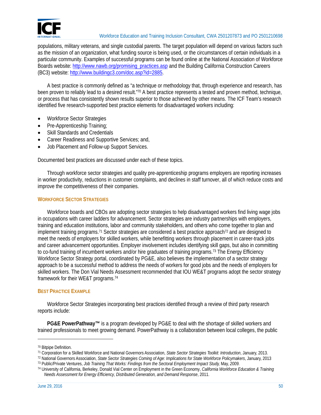

populations, military veterans, and single custodial parents. The target population will depend on various factors such as the mission of an organization, what funding source is being used, or the circumstances of certain individuals in a particular community. Examples of successful programs can be found online at the National Association of Workforce Boards website: http://www.nawb.org/promising\_practices.asp and the Building California Construction Careers (BC3) website: http://www.buildingc3.com/doc.asp?id=2885.

A best practice is commonly defined as "a technique or methodology that, through experience and research, has been proven to reliably lead to a desired result."<sup>70</sup> A best practice represents a tested and proven method, technique, or process that has consistently shown results superior to those achieved by other means. The ICF Team's research identified five research-supported best practice elements for disadvantaged workers including:

- Workforce Sector Strategies
- Pre-Apprenticeship Training;
- Skill Standards and Credentials
- Career Readiness and Supportive Services; and,
- Job Placement and Follow-up Support Services.

Documented best practices are discussed under each of these topics.

Through workforce sector strategies and quality pre-apprenticeship programs employers are reporting increases in worker productivity, reductions in customer complaints, and declines in staff turnover, all of which reduce costs and improve the competitiveness of their companies.

#### **WORKFORCE SECTOR STRATEGIES**

Workforce boards and CBOs are adopting sector strategies to help disadvantaged workers find living wage jobs in occupations with career ladders for advancement. Sector strategies are industry partnerships with employers, training and education institutions, labor and community stakeholders, and others who come together to plan and implement training programs.<sup>71</sup> Sector strategies are considered a best practice approach<sup>72</sup> and are designed to meet the needs of employers for skilled workers, while benefitting workers through placement in career-track jobs and career advancement opportunities. Employer involvement includes identifying skill gaps, but also in committing to co-fund training of incumbent workers and/or hire graduates of training programs.73 The Energy Efficiency Workforce Sector Strategy portal, coordinated by PG&E, also believes the implementation of a sector strategy approach to be a successful method to address the needs of workers for good jobs and the needs of employers for skilled workers. The Don Vial Needs Assessment recommended that IOU WE&T programs adopt the sector strategy framework for their WE&T programs.74

#### **BEST PRACTICE EXAMPLE**

Workforce Sector Strategies incorporating best practices identified through a review of third party research reports include:

**PG&E PowerPathway™** is a program developed by PG&E to deal with the shortage of skilled workers and trained professionals to meet growing demand. PowerPathway is a collaboration between local colleges, the public

l

<sup>71</sup> Corporation for a Skilled Workforce and National Governors Association, *State Sector Strategies Toolkit: Introduction*, January, 2013.<br><sup>72</sup> National Governors Association, *State Sector Strategies Coming of Age: Impl* 

<sup>70</sup> Bitpipe Definition.

<sup>74</sup> University of California, Berkeley, Donald Vial Center on Employment in the Green Economy, *California Workforce Education & Training Needs Assessment for Energy Efficiency, Distributed Generation, and Demand Response*, 2011.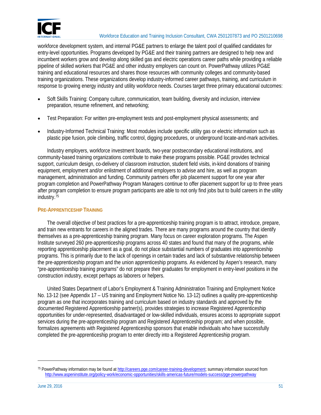

workforce development system, and internal PG&E partners to enlarge the talent pool of qualified candidates for entry-level opportunities. Programs developed by PG&E and their training partners are designed to help new and incumbent workers grow and develop along skilled gas and electric operations career paths while providing a reliable pipeline of skilled workers that PG&E and other industry employers can count on. PowerPathway utilizes PG&E training and educational resources and shares those resources with community colleges and community-based training organizations. These organizations develop industry-informed career pathways, training, and curriculum in response to growing energy industry and utility workforce needs. Courses target three primary educational outcomes:

- Soft Skills Training: Company culture, communication, team building, diversity and inclusion, interview preparation, resume refinement, and networking;
- Test Preparation: For written pre-employment tests and post-employment physical assessments; and
- Industry-Informed Technical Training: Most modules include specific utility gas or electric information such as plastic pipe fusion, pole climbing, traffic control, digging procedures, or underground locate-and-mark activities.

Industry employers, workforce investment boards, two-year postsecondary educational institutions, and community-based training organizations contribute to make these programs possible. PG&E provides technical support, curriculum design, co-delivery of classroom instruction, student field visits, in-kind donations of training equipment, employment and/or enlistment of additional employers to advise and hire, as well as program management, administration and funding. Community partners offer job placement support for one year after program completion and PowerPathway Program Managers continue to offer placement support for up to three years after program completion to ensure program participants are able to not only find jobs but to build careers in the utility industry.75

#### **PRE-APPRENTICESHIP TRAINING**

The overall objective of best practices for a pre-apprenticeship training program is to attract, introduce, prepare, and train new entrants for careers in the aligned trades. There are many programs around the country that identify themselves as a pre-apprenticeship training program. Many focus on career exploration programs. The Aspen Institute surveyed 260 pre-apprenticeship programs across 40 states and found that many of the programs, while reporting apprenticeship placement as a goal, do not place substantial numbers of graduates into apprenticeship programs. This is primarily due to the lack of openings in certain trades and lack of substantive relationship between the pre-apprenticeship program and the union apprenticeship programs. As evidenced by Aspen's research, many "pre-apprenticeship training programs" do not prepare their graduates for employment in entry-level positions in the construction industry, except perhaps as laborers or helpers.

United States Department of Labor's Employment & Training Administration Training and Employment Notice No. 13-12 (see Appendix 17 – US training and Employment Notice No. 13-12) outlines a quality pre-apprenticeship program as one that incorporates training and curriculum based on industry standards and approved by the documented Registered Apprenticeship partner(s), provides strategies to increase Registered Apprenticeship opportunities for under-represented, disadvantaged or low-skilled individuals, ensures access to appropriate support services during the pre-apprenticeship program and Registered Apprenticeship program; and when possible, formalizes agreements with Registered Apprenticeship sponsors that enable individuals who have successfully completed the pre-apprenticeship program to enter directly into a Registered Apprenticeship program.

<sup>75</sup> PowerPathway information may be found at http://careers.pge.com/career-training-development; summary information sourced from http://www.aspeninstitute.org/policy-work/economic-opportunities/skills-americas-future/models-success/pge-powerpathway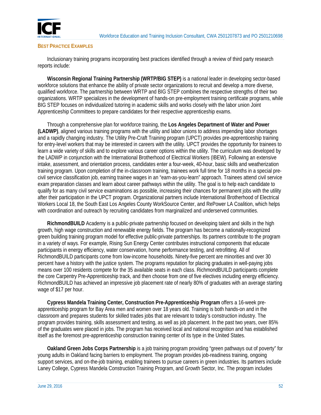

#### **BEST PRACTICE EXAMPLES**

Inclusionary training programs incorporating best practices identified through a review of third party research reports include:

**Wisconsin Regional Training Partnership (WRTP/BIG STEP)** is a national leader in developing sector-based workforce solutions that enhance the ability of private sector organizations to recruit and develop a more diverse, qualified workforce. The partnership between WRTP and BIG STEP combines the respective strengths of their two organizations. WRTP specializes in the development of hands-on pre-employment training certificate programs, while BIG STEP focuses on individualized tutoring in academic skills and works closely with the labor union Joint Apprenticeship Committees to prepare candidates for their respective apprenticeship exams.

Through a comprehensive plan for workforce training, the **Los Angeles Department of Water and Power (LADWP)**, aligned various training programs with the utility and labor unions to address impending labor shortages and a rapidly changing industry. The Utility Pre-Craft Training program (UPCT) provides pre-apprenticeship training for entry-level workers that may be interested in careers with the utility. UPCT provides the opportunity for trainees to learn a wide variety of skills and to explore various career options within the utility. The curriculum was developed by the LADWP in conjunction with the International Brotherhood of Electrical Workers (IBEW). Following an extensive intake, assessment, and orientation process, candidates enter a four-week, 40-hour, basic skills and weatherization training program. Upon completion of the in-classroom training, trainees work full time for 18 months in a special precivil service classification job, earning trainee wages in an "earn-as-you-learn" approach. Trainees attend civil service exam preparation classes and learn about career pathways within the utility. The goal is to help each candidate to qualify for as many civil service examinations as possible, increasing their chances for permanent jobs with the utility after their participation in the UPCT program. Organizational partners include International Brotherhood of Electrical Workers Local 18, the South East Los Angeles County WorkSource Center, and RePower LA Coalition, which helps with coordination and outreach by recruiting candidates from marginalized and underserved communities.

**RichmondBUILD** Academy is a public-private partnership focused on developing talent and skills in the high growth, high wage construction and renewable energy fields. The program has become a nationally-recognized green building training program model for effective public-private partnerships. Its partners contribute to the program in a variety of ways. For example, Rising Sun Energy Center contributes instructional components that educate participants in energy efficiency, water conservation, home performance testing, and retrofitting. All of RichmondBUILD participants come from low-income households. Ninety-five percent are minorities and over 30 percent have a history with the justice system. The programs reputation for placing graduates in well-paying jobs means over 100 residents compete for the 35 available seats in each class. RichmondBUILD participants complete the core Carpentry Pre-Apprenticeship track, and then choose from one of five electives including energy efficiency. RichmondBUILD has achieved an impressive job placement rate of nearly 80% of graduates with an average starting wage of \$17 per hour.

**Cypress Mandela Training Center, Construction Pre-Apprenticeship Program** offers a 16-week preapprenticeship program for Bay Area men and women over 18 years old. Training is both hands-on and in the classroom and prepares students for skilled trades jobs that are relevant to today's construction industry. The program provides training, skills assessment and testing, as well as job placement. In the past two years, over 85% of the graduates were placed in jobs. The program has received local and national recognition and has established itself as the foremost pre-apprenticeship construction training center of its type in the United States.

**Oakland Green Jobs Corps Partnership** is a job training program providing "green pathways out of poverty" for young adults in Oakland facing barriers to employment. The program provides job-readiness training, ongoing support services, and on-the-job training, enabling trainees to pursue careers in green industries. Its partners include Laney College, Cypress Mandela Construction Training Program, and Growth Sector, Inc. The program includes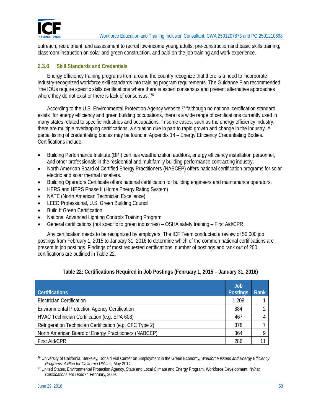

outreach, recruitment, and assessment to recruit low-income young adults; pre-construction and basic skills training; classroom instruction on solar and green construction, and paid on-the-job training and work experience.

#### **2.3.6 Skill Standards and Credentials**

Energy Efficiency training programs from around the country recognize that there is a need to incorporate industry-recognized workforce skill standards into training program requirements. The Guidance Plan recommended "the IOUs require specific skills certifications where there is expert consensus and present alternative approaches where they do not exist or there is lack of consensus."76

According to the U.S. Environmental Protection Agency website,<sup>77</sup> "although no national certification standard exists" for energy efficiency and green building occupations, there is a wide range of certifications currently used in many states related to specific industries and occupations. In some cases, such as the energy efficiency industry, there are multiple overlapping certifications, a situation due in part to rapid growth and change in the industry. A partial listing of credentialing bodies may be found in Appendix 14 – Energy Efficiency Credentialing Bodies. Certifications include:

- Building Performance Institute (BPI) certifies weatherization auditors, energy efficiency installation personnel, and other professionals in the residential and multifamily building performance contracting industry.
- North American Board of Certified Energy Practitioners (NABCEP) offers national certification programs for solar electric and solar thermal installers.
- Building Operators Certificate offers national certification for building engineers and maintenance operators.
- HERS and HERS Phase II (Home Energy Rating System)
- NATE (North American Technician Excellence)
- LEED Professional, U.S. Green Building Council
- Build It Green Certification
- National Advanced Lighting Controls Training Program
- General certifications (not specific to green industries) OSHA safety training First Aid/CPR

Any certification needs to be recognized by employers. The ICF Team conducted a review of 50,000 job postings from February 1, 2015 to January 31, 2016 to determine which of the common national certifications are present in job postings. Findings of most requested certifications, number of postings and rank out of 200 certifications are outlined in Table 22.

| <b>Certifications</b>                                    | <b>Job</b><br><b>Postings</b> | Rank |
|----------------------------------------------------------|-------------------------------|------|
| <b>Electrician Certification</b>                         | 1,208                         |      |
| <b>Environmental Protection Agency Certification</b>     | 884                           |      |
| HVAC Technician Certification (e.g. EPA 608)             | 467                           |      |
| Refrigeration Technician Certification (e.g. CFC Type 2) | 378                           |      |
| North American Board of Energy Practitioners (NABCEP)    | 364                           |      |
| <b>First Aid/CPR</b>                                     | 286                           |      |

#### **Table 22: Certifications Required in Job Postings (February 1, 2015 – January 31, 2016)**

<sup>76</sup> University of California, Berkeley, Donald Vial Center on Employment in the Green Economy, *Workforce Issues and Energy Efficiency* 

*Programs: A Plan for California Utilities,* May 2014. 77 United States. Environmental Protection Agency, State and Local Climate and Energy Program, Workforce Development, *"What Certifications are Used?",* February, 2009.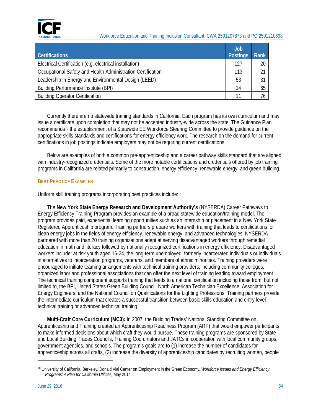

| <b>Certifications</b>                                       | <b>Job</b><br><b>Postings</b> | <b>Rank</b> |
|-------------------------------------------------------------|-------------------------------|-------------|
| Electrical Certification (e.g. electrical installation)     | 127                           | 20          |
| Occupational Safety and Health Administration Certification | 113                           |             |
| Leadership in Energy and Environmental Design (LEED)        | 53                            |             |
| <b>Building Performance Institute (BPI)</b>                 | 14                            | 65          |
| <b>Building Operator Certification</b>                      |                               | 76.         |

Currently there are no statewide training standards in California. Each program has its own curriculum and may issue a certificate upon completion that may not be accepted industry-wide across the state. The Guidance Plan recommends78 the establishment of a Statewide EE Workforce Steering Committee to provide guidance on the appropriate skills standards and certifications for energy efficiency work. The research on the demand for current certifications in job postings indicate employers may not be requiring current certifications.

Below are examples of both a common pre-apprenticeship and a career pathway skills standard that are aligned with industry-recognized credentials. Some of the more notable certifications and credentials offered by job training programs in California are related primarily to construction, energy efficiency, renewable energy, and green building.

#### **BEST PRACTICE EXAMPLES**

Uniform skill training programs incorporating best practices include:

The **New York State Energy Research and Development Authority's** (NYSERDA) Career Pathways to Energy Efficiency Training Program provides an example of a broad statewide education/training model. The program provides paid, experiential learning opportunities such as an internship or placement in a New York State Registered Apprenticeship program. Training partners prepare workers with training that leads to certifications for clean energy jobs in the fields of energy efficiency, renewable energy, and advanced technologies. NYSERDA partnered with more than 20 training organizations adept at serving disadvantaged workers through remedial education in math and literacy followed by nationally recognized certifications in energy efficiency. Disadvantaged workers include: at risk youth aged 16-24, the long-term unemployed, formerly incarcerated individuals or individuals in alternatives to incarceration programs, veterans, and members of ethnic minorities. Training providers were encouraged to initiate teaming arrangements with technical training providers, including community colleges, organized labor and professional associations that can offer the next level of training leading toward employment. The technical training component supports training that leads to a national certification including those from, but not limited to, the BPI, United States Green Building Council, North American Technician Excellence, Association for Energy Engineers, and the National Council on Qualifications for the Lighting Professions. Training partners provide the intermediate curriculum that creates a successful transition between basic skills education and entry-level technical training or advanced technical training.

**Multi-Craft Core Curriculum (MC3):** In 2007, the Building Trades' National Standing Committee on Apprenticeship and Training created an Apprenticeship Readiness Program (ARP) that would empower participants to make informed decisions about which craft they would pursue. These training programs are sponsored by State and Local Building Trades Councils, Training Coordinators and JATCs in cooperation with local community groups, government agencies, and schools. The program's goals are to (1) increase the number of candidates for apprenticeship across all crafts, (2) increase the diversity of apprenticeship candidates by recruiting women, people

-

<sup>78</sup> University of California, Berkeley, Donald Vial Center on Employment in the Green Economy, *Workforce Issues and Energy Efficiency Programs: A Plan for California Utilities,* May 2014.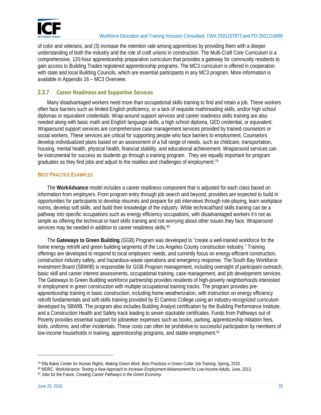

of color and veterans, and (3) increase the retention rate among apprentices by providing them with a deeper understanding of both the industry and the role of craft unions in construction. The Multi-Craft Core Curriculum is a comprehensive, 120-hour apprenticeship preparation curriculum that provides a gateway for community residents to gain access to Building Trades registered apprenticeship programs. The MC3 curriculum is offered in cooperation with state and local Building Councils, which are essential participants in any MC3 program. More information is available in Appendix 16 – MC3 Overview.

#### **2.3.7 Career Readiness and Supportive Services**

Many disadvantaged workers need more than occupational skills training to find and retain a job. These workers often face barriers such as limited English proficiency, or a lack of requisite math/reading skills, and/or high school diplomas or equivalent credentials. Wrap-around support services and career readiness skills training are also needed along with basic math and English language skills, a high school diploma, GED credential, or equivalent. Wraparound support services are comprehensive case management services provided by trained counselors or social workers. These services are critical for supporting people who face barriers to employment. Counselors develop individualized plans based on an assessment of a full range of needs, such as childcare, transportation, housing, mental health, physical health, financial stability, and educational achievement. Wraparound services can be instrumental for success as students go through a training program. They are equally important for program graduates as they find jobs and adjust to the realities and challenges of employment.<sup>79</sup>

#### **BEST PRACTICE EXAMPLES**

The **WorkAdvance** model includes a career readiness component that is adjusted for each class based on information from employers. From program entry through job search and beyond, providers are expected to build in opportunities for participants to develop résumés and prepare for job interviews through role-playing, learn workplace norms, develop soft skills, and build their knowledge of the industry. While technical/hard skills training can be a pathway into specific occupations such as energy efficiency occupations, with disadvantaged workers it's not as simple as offering the technical or hard skills training and not worrying about other issues they face. Wraparound services may be needed in addition to career readiness skills.<sup>80</sup>

The **Gateways to Green Building** (GGB) Program was developed to "create a well-trained workforce for the home energy retrofit and green building segments of the Los Angeles County construction industry." Training offerings are developed to respond to local employers' needs, and currently focus on energy-efficient construction, construction industry safety, and hazardous-waste operations and emergency response. The South Bay Workforce Investment Board (SBWIB) is responsible for GGB Program management, including oversight of participant outreach, basic skill and career interest assessments, occupational training, case management, and job development services. The Gateways to Green Building workforce partnership provides residents of high-poverty neighborhoods interested in employment in green construction with multiple occupational training tracks. The program provides preapprenticeship training in basic construction, including home weatherization, with instruction on energy efficiency retrofit fundamentals and soft-skills training provided by El Camino College using an industry-recognized curriculum developed by SBWIB. The program also includes Building Analyst certification by the Building Performance Institute, and a Construction Health and Safety track leading to seven stackable certificates. Funds from Pathways out of Poverty provides essential support for jobseeker expenses such as books, parking, apprenticeship initiation fees, tools, uniforms, and other incidentals. These costs can often be prohibitive to successful participation by members of low-income households in training, apprenticeship programs, and stable employment.<sup>81</sup>

 $\overline{a}$ 

<sup>&</sup>lt;sup>79</sup> Ella Baker Center for Human Rights, *Making Green Work: Best Practices in Green Collar Job Training*, Spring, 2010.<br><sup>80</sup> MDRC, *WorkAdvance: Testing a New Approach to Increase Employment Advancement for Low-Income Adu*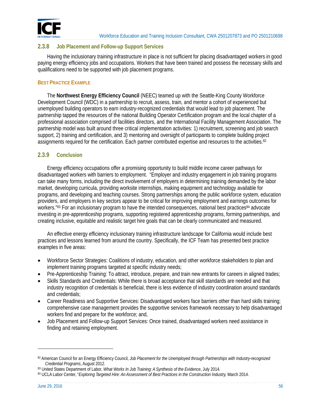

#### **2.3.8 Job Placement and Follow-up Support Services**

Having the inclusionary training infrastructure in place is not sufficient for placing disadvantaged workers in good paying energy efficiency jobs and occupations. Workers that have been trained and possess the necessary skills and qualifications need to be supported with job placement programs.

#### **BEST PRACTICE EXAMPLE**

The **Northwest Energy Efficiency Council** (NEEC) teamed up with the Seattle-King County Workforce Development Council (WDC) in a partnership to recruit, assess, train, and mentor a cohort of experienced but unemployed building operators to earn industry-recognized credentials that would lead to job placement. The partnership tapped the resources of the national Building Operator Certification program and the local chapter of a professional association comprised of facilities directors, and the International Facility Management Association. The partnership model was built around three critical implementation activities: 1) recruitment, screening and job search support, 2) training and certification, and 3) mentoring and oversight of participants to complete building project assignments required for the certification. Each partner contributed expertise and resources to the activities.<sup>82</sup>

#### **2.3.9 Conclusion**

Energy efficiency occupations offer a promising opportunity to build middle income career pathways for disadvantaged workers with barriers to employment. "Employer and industry engagement in job training programs can take many forms, including the direct involvement of employers in determining training demanded by the labor market, developing curricula, providing worksite internships, making equipment and technology available for programs, and developing and teaching courses. Strong partnerships among the public workforce system, education providers, and employers in key sectors appear to be critical for improving employment and earnings outcomes for workers."83 For an inclusionary program to have the intended consequences, national best practices<sup>84</sup> advocate investing in pre-apprenticeship programs, supporting registered apprenticeship programs, forming partnerships, and creating inclusive, equitable and realistic target hire goals that can be clearly communicated and measured.

An effective energy efficiency inclusionary training infrastructure landscape for California would include best practices and lessons learned from around the country. Specifically, the ICF Team has presented best practice examples in five areas:

- Workforce Sector Strategies: Coalitions of industry, education, and other workforce stakeholders to plan and implement training programs targeted at specific industry needs;
- Pre-Apprenticeship Training: To attract, introduce, prepare, and train new entrants for careers in aligned trades;
- Skills Standards and Credentials: While there is broad acceptance that skill standards are needed and that industry recognition of credentials is beneficial, there is less evidence of industry coordination around standards and credentials;
- Career Readiness and Supportive Services: Disadvantaged workers face barriers other than hard skills training; comprehensive case management provides the supportive services framework necessary to help disadvantaged workers find and prepare for the workforce; and,
- Job Placement and Follow-up Support Services: Once trained, disadvantaged workers need assistance in finding and retaining employment.

 $\overline{\phantom{0}}$ 

<sup>82</sup> American Council for an Energy Efficiency Council, *Job Placement for the Unemployed through Partnerships with Industry-recognized*  Credential Programs, August 2012.<br><sup>83</sup> United States Department of Labor, *What Works In Job Training: A Synthesis of the Evidence*, July 2014.<br><sup>84</sup> UCLA Labor Center, "*Exploring Targeted Hire: An Assessment of Best Pract*